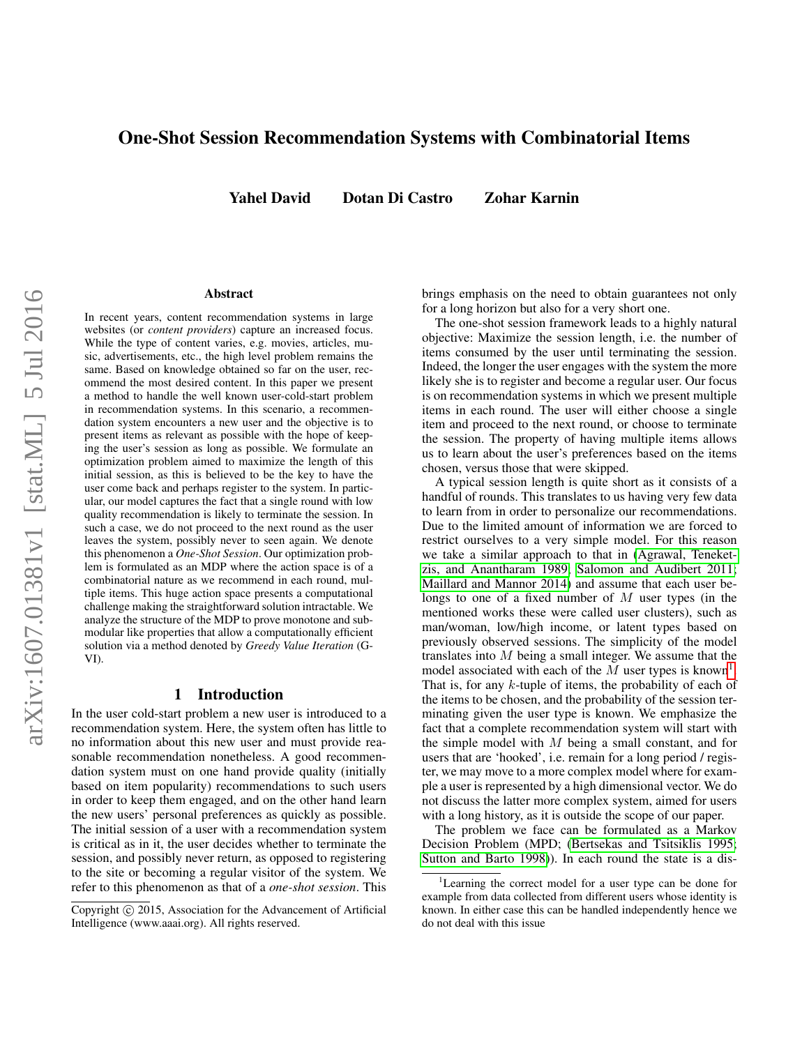# One-Shot Session Recommendation Systems with Combinatorial Items

Yahel David Dotan Di Castro Zohar Karnin

#### Abstract

In recent years, content recommendation systems in large websites (or *content providers*) capture an increased focus. While the type of content varies, e.g. movies, articles, music, advertisements, etc., the high level problem remains the same. Based on knowledge obtained so far on the user, recommend the most desired content. In this paper we present a method to handle the well known user-cold-start problem in recommendation systems. In this scenario, a recommendation system encounters a new user and the objective is to present items as relevant as possible with the hope of keeping the user's session as long as possible. We formulate an optimization problem aimed to maximize the length of this initial session, as this is believed to be the key to have the user come back and perhaps register to the system. In particular, our model captures the fact that a single round with low quality recommendation is likely to terminate the session. In such a case, we do not proceed to the next round as the user leaves the system, possibly never to seen again. We denote this phenomenon a *One-Shot Session*. Our optimization problem is formulated as an MDP where the action space is of a combinatorial nature as we recommend in each round, multiple items. This huge action space presents a computational challenge making the straightforward solution intractable. We analyze the structure of the MDP to prove monotone and submodular like properties that allow a computationally efficient solution via a method denoted by *Greedy Value Iteration* (G-VI).

### 1 Introduction

In the user cold-start problem a new user is introduced to a recommendation system. Here, the system often has little to no information about this new user and must provide reasonable recommendation nonetheless. A good recommendation system must on one hand provide quality (initially based on item popularity) recommendations to such users in order to keep them engaged, and on the other hand learn the new users' personal preferences as quickly as possible. The initial session of a user with a recommendation system is critical as in it, the user decides whether to terminate the session, and possibly never return, as opposed to registering to the site or becoming a regular visitor of the system. We refer to this phenomenon as that of a *one-shot session*. This

brings emphasis on the need to obtain guarantees not only for a long horizon but also for a very short one.

The one-shot session framework leads to a highly natural objective: Maximize the session length, i.e. the number of items consumed by the user until terminating the session. Indeed, the longer the user engages with the system the more likely she is to register and become a regular user. Our focus is on recommendation systems in which we present multiple items in each round. The user will either choose a single item and proceed to the next round, or choose to terminate the session. The property of having multiple items allows us to learn about the user's preferences based on the items chosen, versus those that were skipped.

A typical session length is quite short as it consists of a handful of rounds. This translates to us having very few data to learn from in order to personalize our recommendations. Due to the limited amount of information we are forced to restrict ourselves to a very simple model. For this reason we take a similar approach to that in [\(Agrawal, Teneket](#page-6-0)[zis, and Anantharam 1989;](#page-6-0) [Salomon and Audibert 2011;](#page-6-1) [Maillard and Mannor 2014\)](#page-6-2) and assume that each user belongs to one of a fixed number of  $M$  user types (in the mentioned works these were called user clusters), such as man/woman, low/high income, or latent types based on previously observed sessions. The simplicity of the model translates into M being a small integer. We assume that the model associated with each of the  $\overline{M}$  user types is known<sup>[1](#page-0-0)</sup>. That is, for any k-tuple of items, the probability of each of the items to be chosen, and the probability of the session terminating given the user type is known. We emphasize the fact that a complete recommendation system will start with the simple model with  $M$  being a small constant, and for users that are 'hooked', i.e. remain for a long period / register, we may move to a more complex model where for example a user is represented by a high dimensional vector. We do not discuss the latter more complex system, aimed for users with a long history, as it is outside the scope of our paper.

The problem we face can be formulated as a Markov Decision Problem (MPD; [\(Bertsekas and Tsitsiklis 1995;](#page-6-3) [Sutton and Barto 1998\)](#page-6-4)). In each round the state is a dis-

Copyright (c) 2015, Association for the Advancement of Artificial Intelligence (www.aaai.org). All rights reserved.

<span id="page-0-0"></span><sup>&</sup>lt;sup>1</sup>Learning the correct model for a user type can be done for example from data collected from different users whose identity is known. In either case this can be handled independently hence we do not deal with this issue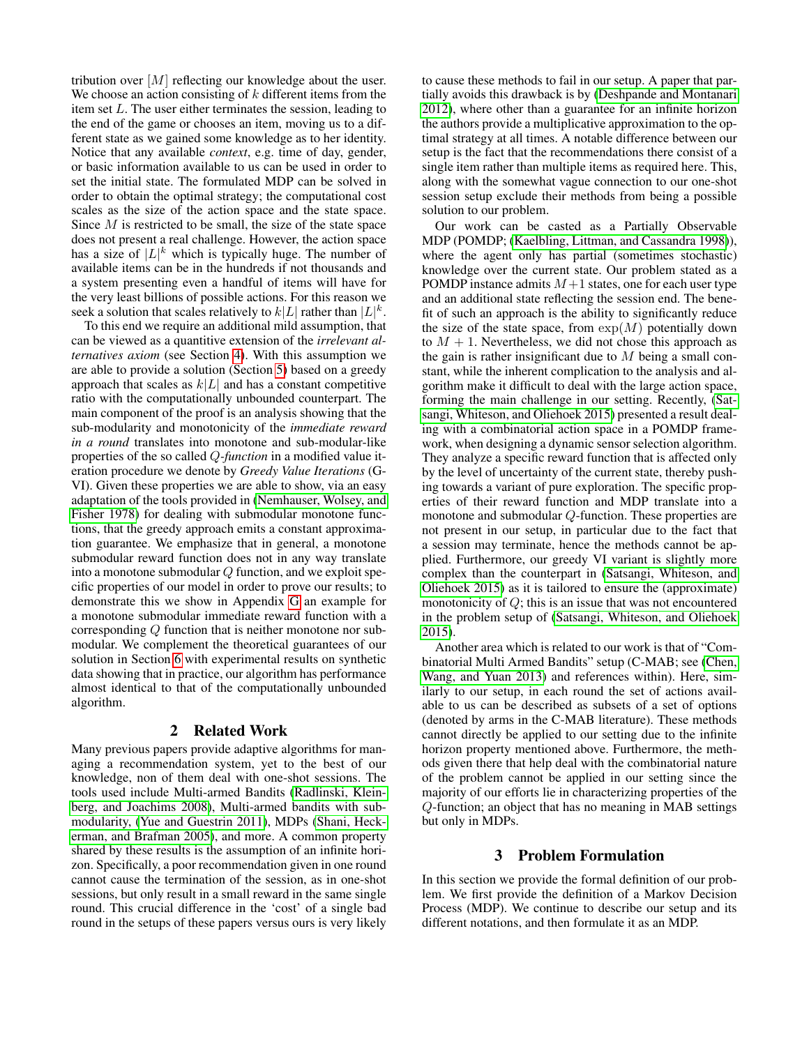tribution over [M] reflecting our knowledge about the user. We choose an action consisting of  $k$  different items from the item set L. The user either terminates the session, leading to the end of the game or chooses an item, moving us to a different state as we gained some knowledge as to her identity. Notice that any available *context*, e.g. time of day, gender, or basic information available to us can be used in order to set the initial state. The formulated MDP can be solved in order to obtain the optimal strategy; the computational cost scales as the size of the action space and the state space. Since  $M$  is restricted to be small, the size of the state space does not present a real challenge. However, the action space has a size of  $|L|^k$  which is typically huge. The number of available items can be in the hundreds if not thousands and a system presenting even a handful of items will have for the very least billions of possible actions. For this reason we seek a solution that scales relatively to  $k|L|$  rather than  $|L|^k$ .

To this end we require an additional mild assumption, that can be viewed as a quantitive extension of the *irrelevant alternatives axiom* (see Section [4\)](#page-3-0). With this assumption we are able to provide a solution (Section [5\)](#page-3-1) based on a greedy approach that scales as  $k|L|$  and has a constant competitive ratio with the computationally unbounded counterpart. The main component of the proof is an analysis showing that the sub-modularity and monotonicity of the *immediate reward in a round* translates into monotone and sub-modular-like properties of the so called Q*-function* in a modified value iteration procedure we denote by *Greedy Value Iterations* (G-VI). Given these properties we are able to show, via an easy adaptation of the tools provided in [\(Nemhauser, Wolsey, and](#page-6-5) [Fisher 1978\)](#page-6-5) for dealing with submodular monotone functions, that the greedy approach emits a constant approximation guarantee. We emphasize that in general, a monotone submodular reward function does not in any way translate into a monotone submodular  $Q$  function, and we exploit specific properties of our model in order to prove our results; to demonstrate this we show in Appendix [G](#page-23-0) an example for a monotone submodular immediate reward function with a corresponding Q function that is neither monotone nor submodular. We complement the theoretical guarantees of our solution in Section [6](#page-5-0) with experimental results on synthetic data showing that in practice, our algorithm has performance almost identical to that of the computationally unbounded algorithm.

#### 2 Related Work

Many previous papers provide adaptive algorithms for managing a recommendation system, yet to the best of our knowledge, non of them deal with one-shot sessions. The tools used include Multi-armed Bandits [\(Radlinski, Klein](#page-6-6)[berg, and Joachims 2008\)](#page-6-6), Multi-armed bandits with submodularity, [\(Yue and Guestrin 2011\)](#page-6-7), MDPs [\(Shani, Heck](#page-6-8)[erman, and Brafman 2005\)](#page-6-8), and more. A common property shared by these results is the assumption of an infinite horizon. Specifically, a poor recommendation given in one round cannot cause the termination of the session, as in one-shot sessions, but only result in a small reward in the same single round. This crucial difference in the 'cost' of a single bad round in the setups of these papers versus ours is very likely

to cause these methods to fail in our setup. A paper that partially avoids this drawback is by [\(Deshpande and Montanari](#page-6-9) [2012\)](#page-6-9), where other than a guarantee for an infinite horizon the authors provide a multiplicative approximation to the optimal strategy at all times. A notable difference between our setup is the fact that the recommendations there consist of a single item rather than multiple items as required here. This, along with the somewhat vague connection to our one-shot session setup exclude their methods from being a possible solution to our problem.

Our work can be casted as a Partially Observable MDP (POMDP; [\(Kaelbling, Littman, and Cassandra 1998\)](#page-6-10)), where the agent only has partial (sometimes stochastic) knowledge over the current state. Our problem stated as a POMDP instance admits  $M+1$  states, one for each user type and an additional state reflecting the session end. The benefit of such an approach is the ability to significantly reduce the size of the state space, from  $exp(M)$  potentially down to  $M + 1$ . Nevertheless, we did not chose this approach as the gain is rather insignificant due to  $M$  being a small constant, while the inherent complication to the analysis and algorithm make it difficult to deal with the large action space, forming the main challenge in our setting. Recently, [\(Sat](#page-6-11)[sangi, Whiteson, and Oliehoek 2015\)](#page-6-11) presented a result dealing with a combinatorial action space in a POMDP framework, when designing a dynamic sensor selection algorithm. They analyze a specific reward function that is affected only by the level of uncertainty of the current state, thereby pushing towards a variant of pure exploration. The specific properties of their reward function and MDP translate into a monotone and submodular Q-function. These properties are not present in our setup, in particular due to the fact that a session may terminate, hence the methods cannot be applied. Furthermore, our greedy VI variant is slightly more complex than the counterpart in [\(Satsangi, Whiteson, and](#page-6-11) [Oliehoek 2015\)](#page-6-11) as it is tailored to ensure the (approximate) monotonicity of Q; this is an issue that was not encountered in the problem setup of [\(Satsangi, Whiteson, and Oliehoek](#page-6-11) [2015\)](#page-6-11).

Another area which is related to our work is that of "Combinatorial Multi Armed Bandits" setup (C-MAB; see [\(Chen,](#page-6-12) [Wang, and Yuan 2013\)](#page-6-12) and references within). Here, similarly to our setup, in each round the set of actions available to us can be described as subsets of a set of options (denoted by arms in the C-MAB literature). These methods cannot directly be applied to our setting due to the infinite horizon property mentioned above. Furthermore, the methods given there that help deal with the combinatorial nature of the problem cannot be applied in our setting since the majority of our efforts lie in characterizing properties of the Q-function; an object that has no meaning in MAB settings but only in MDPs.

### 3 Problem Formulation

In this section we provide the formal definition of our problem. We first provide the definition of a Markov Decision Process (MDP). We continue to describe our setup and its different notations, and then formulate it as an MDP.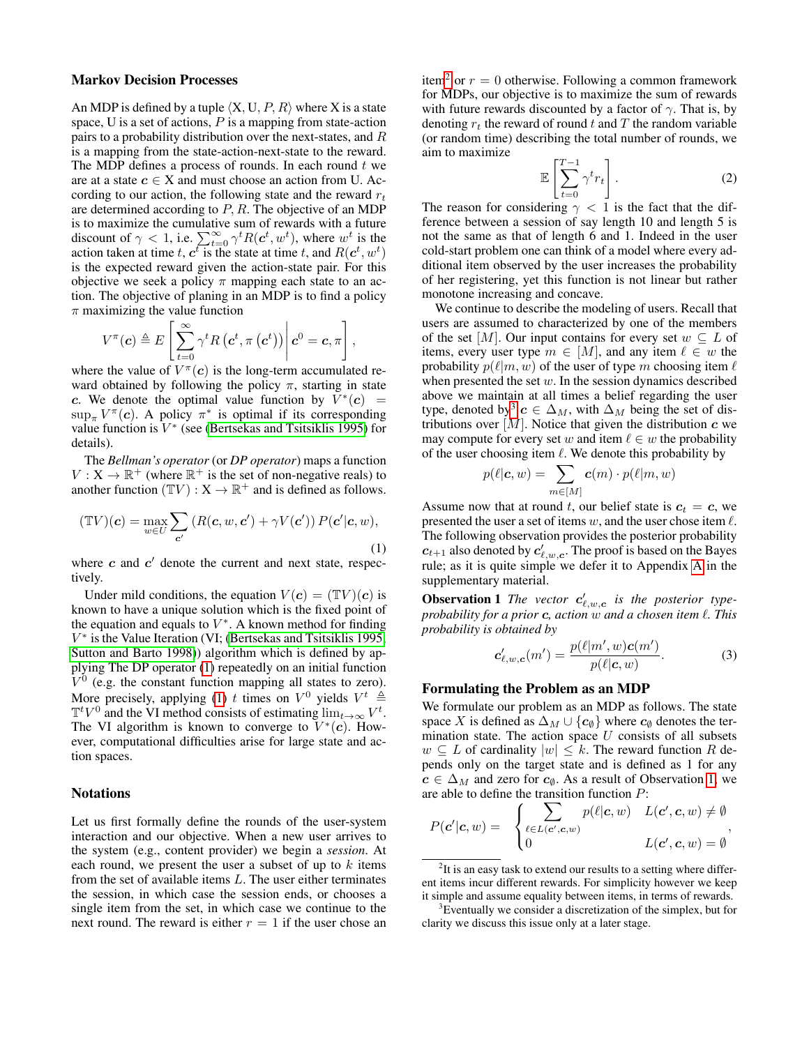#### Markov Decision Processes

An MDP is defined by a tuple  $\langle X, U, P, R \rangle$  where X is a state space, U is a set of actions,  $P$  is a mapping from state-action pairs to a probability distribution over the next-states, and R is a mapping from the state-action-next-state to the reward. The MDP defines a process of rounds. In each round  $t$  we are at a state  $c \in X$  and must choose an action from U. According to our action, the following state and the reward  $r_t$ are determined according to  $P$ ,  $R$ . The objective of an MDP is to maximize the cumulative sum of rewards with a future<br>discount of  $\gamma < 1$ , i.e.  $\sum_{t=0}^{\infty} \gamma^t R(c^t, w^t)$ , where  $w^t$  is the action taken at time t,  $c^t$  is the state at time t, and  $R(c^t, w^t)$ is the expected reward given the action-state pair. For this objective we seek a policy  $\pi$  mapping each state to an action. The objective of planing in an MDP is to find a policy  $\pi$  maximizing the value function

$$
V^{\pi}(\boldsymbol{c}) \triangleq E\left[\left.\sum_{t=0}^{\infty} \gamma^t R\left(\boldsymbol{c}^t, \pi\left(\boldsymbol{c}^t\right)\right)\right| \boldsymbol{c}^0 = \boldsymbol{c}, \pi\right],
$$

where the value of  $V^{\pi}(c)$  is the long-term accumulated reward obtained by following the policy  $\pi$ , starting in state c. We denote the optimal value function by  $\overline{V}^*(c)$  =  $\sup_{\pi} V^{\pi}(c)$ . A policy  $\pi^*$  is optimal if its corresponding value function is  $V^*$  (see [\(Bertsekas and Tsitsiklis 1995\)](#page-6-3) for details).

The *Bellman's operator* (or *DP operator*) maps a function  $V: X \to \mathbb{R}^+$  (where  $\mathbb{R}^+$  is the set of non-negative reals) to another function  $(\mathbb{T}V) : X \to \mathbb{R}^+$  and is defined as follows.

<span id="page-2-0"></span>
$$
(\mathbb{T}V)(\mathbf{c}) = \max_{w \in U} \sum_{\mathbf{c}'} \left( R(\mathbf{c}, w, \mathbf{c}') + \gamma V(\mathbf{c}') \right) P(\mathbf{c}'|\mathbf{c}, w),\tag{1}
$$

where  $c$  and  $c'$  denote the current and next state, respectively.

Under mild conditions, the equation  $V(c) = (\mathbb{T}V)(c)$  is known to have a unique solution which is the fixed point of the equation and equals to  $V^*$ . A known method for finding V ∗ is the Value Iteration (VI; [\(Bertsekas and Tsitsiklis 1995;](#page-6-3) [Sutton and Barto 1998\)](#page-6-4)) algorithm which is defined by applying The DP operator [\(1\)](#page-2-0) repeatedly on an initial function  $V^0$  (e.g. the constant function mapping all states to zero). More precisely, applying [\(1\)](#page-2-0) t times on  $V^0$  yields  $V^t \triangleq$  $\mathbb{T}^t V^0$  and the VI method consists of estimating  $\lim_{t\to\infty} V^t$ . The VI algorithm is known to converge to  $V^*(c)$ . However, computational difficulties arise for large state and action spaces.

#### Notations

Let us first formally define the rounds of the user-system interaction and our objective. When a new user arrives to the system (e.g., content provider) we begin a *session*. At each round, we present the user a subset of up to  $k$  items from the set of available items  $L$ . The user either terminates the session, in which case the session ends, or chooses a single item from the set, in which case we continue to the next round. The reward is either  $r = 1$  if the user chose an

item<sup>[2](#page-2-1)</sup> or  $r = 0$  otherwise. Following a common framework for MDPs, our objective is to maximize the sum of rewards with future rewards discounted by a factor of  $\gamma$ . That is, by denoting  $r_t$  the reward of round t and T the random variable (or random time) describing the total number of rounds, we aim to maximize

$$
\mathbb{E}\left[\sum_{t=0}^{T-1} \gamma^t r_t\right].\tag{2}
$$

The reason for considering  $\gamma$  < 1 is the fact that the difference between a session of say length 10 and length 5 is not the same as that of length 6 and 1. Indeed in the user cold-start problem one can think of a model where every additional item observed by the user increases the probability of her registering, yet this function is not linear but rather monotone increasing and concave.

We continue to describe the modeling of users. Recall that users are assumed to characterized by one of the members of the set [M]. Our input contains for every set  $w \subseteq L$  of items, every user type  $m \in [M]$ , and any item  $\ell \in w$  the probability  $p(\ell|m, w)$  of the user of type m choosing item  $\ell$ when presented the set  $w$ . In the session dynamics described above we maintain at all times a belief regarding the user type, denoted by<sup>[3](#page-2-2)</sup>  $c \in \Delta_M$ , with  $\Delta_M$  being the set of distributions over  $[M]$ . Notice that given the distribution  $c$  we may compute for every set w and item  $\ell \in w$  the probability of the user choosing item  $\ell$ . We denote this probability by

$$
p(\ell|\mathbf{c}, w) = \sum_{m \in [M]} \mathbf{c}(m) \cdot p(\ell|m, w)
$$

Assume now that at round t, our belief state is  $c_t = c$ , we presented the user a set of items  $w$ , and the user chose item  $\ell$ . The following observation provides the posterior probability  $c_{t+1}$  also denoted by  $c'_{\ell,w,c}$ . The proof is based on the Bayes rule; as it is quite simple we defer it to Appendix [A](#page-7-0) in the supplementary material.

<span id="page-2-3"></span>**Observation 1** The vector  $c'_{\ell,w,c}$  is the posterior type*probability for a prior c, action* w *and a chosen item*  $\ell$ *. This probability is obtained by*

<span id="page-2-4"></span>
$$
\mathbf{c}'_{\ell,w,\mathbf{c}}(m') = \frac{p(\ell|m',w)\mathbf{c}(m')}{p(\ell|\mathbf{c},w)}.\tag{3}
$$

## Formulating the Problem as an MDP

We formulate our problem as an MDP as follows. The state space X is defined as  $\Delta_M \cup \{c_{\emptyset}\}\$  where  $c_{\emptyset}$  denotes the termination state. The action space  $U$  consists of all subsets  $w \subseteq L$  of cardinality  $|w| \leq k$ . The reward function R depends only on the target state and is defined as 1 for any  $c \in \Delta_M$  and zero for  $c_{\emptyset}$ . As a result of Observation [1,](#page-2-3) we are able to define the transition function P:

$$
P(\mathbf{c}'|\mathbf{c}, w) = \begin{cases} \sum_{\ell \in L(\mathbf{c}', \mathbf{c}, w)} p(\ell|\mathbf{c}, w) & L(\mathbf{c}', \mathbf{c}, w) \neq \emptyset \\ 0 & L(\mathbf{c}', \mathbf{c}, w) = \emptyset \end{cases}
$$

<span id="page-2-1"></span> $2$ It is an easy task to extend our results to a setting where different items incur different rewards. For simplicity however we keep it simple and assume equality between items, in terms of rewards.

<span id="page-2-2"></span><sup>&</sup>lt;sup>3</sup>Eventually we consider a discretization of the simplex, but for clarity we discuss this issue only at a later stage.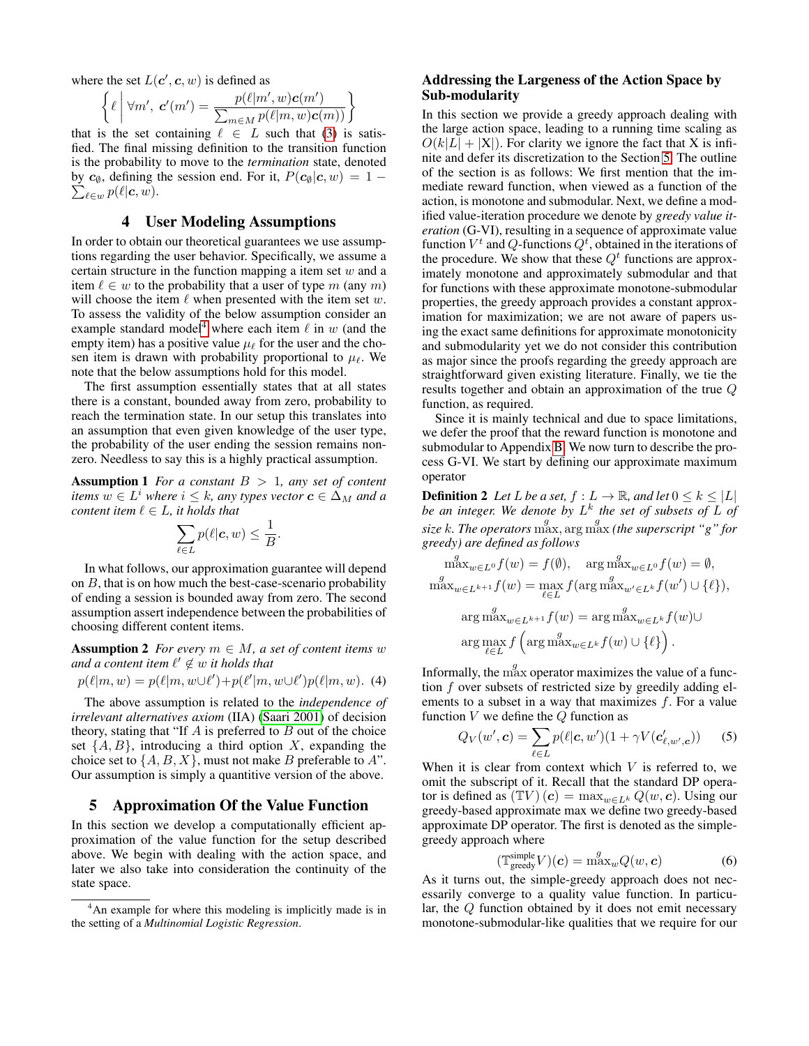where the set  $L(c', c, w)$  is defined as

$$
\left\{\ell \mid \forall m', \mathbf{c'}(m') = \frac{p(\ell|m',w)\mathbf{c}(m')}{\sum_{m \in M} p(\ell|m,w)\mathbf{c}(m))}\right\}
$$

that is the set containing  $\ell \in L$  such that [\(3\)](#page-2-4) is satisfied. The final missing definition to the transition function is the probability to move to the *termination* state, denoted by  $c_{\emptyset}$ , defining the session end. For it,  $P(c_{\emptyset}|c, w) = 1 \sum_{\ell\in w} p(\ell|\boldsymbol{c},w).$ 

## 4 User Modeling Assumptions

<span id="page-3-0"></span>In order to obtain our theoretical guarantees we use assumptions regarding the user behavior. Specifically, we assume a certain structure in the function mapping a item set  $w$  and a item  $\ell \in w$  to the probability that a user of type m (any m) will choose the item  $\ell$  when presented with the item set w. To assess the validity of the below assumption consider an example standard model<sup>[4](#page-3-2)</sup> where each item  $\ell$  in w (and the empty item) has a positive value  $\mu_{\ell}$  for the user and the chosen item is drawn with probability proportional to  $\mu_{\ell}$ . We note that the below assumptions hold for this model.

The first assumption essentially states that at all states there is a constant, bounded away from zero, probability to reach the termination state. In our setup this translates into an assumption that even given knowledge of the user type, the probability of the user ending the session remains nonzero. Needless to say this is a highly practical assumption.

<span id="page-3-4"></span>Assumption 1 *For a constant* B > 1*, any set of content items*  $w \in L^i$  *where*  $i \leq k$ *, any types vector*  $\boldsymbol{c} \in \Delta_M$  *and a content item*  $\ell \in L$ *, it holds that* 

$$
\sum_{\ell\in L} p(\ell|\boldsymbol{c},w) \leq \frac{1}{B}.
$$

In what follows, our approximation guarantee will depend on  $B$ , that is on how much the best-case-scenario probability of ending a session is bounded away from zero. The second assumption assert independence between the probabilities of choosing different content items.

<span id="page-3-5"></span>**Assumption 2** *For every*  $m \in M$ , *a set of content items w and a content item*  $ℓ' \notin w$  *it holds that* 

$$
p(\ell|m, w) = p(\ell|m, w \cup \ell') + p(\ell'|m, w \cup \ell')p(\ell|m, w). \tag{4}
$$

The above assumption is related to the *independence of irrelevant alternatives axiom* (IIA) [\(Saari 2001\)](#page-6-13) of decision theory, stating that "If  $\overline{A}$  is preferred to  $\overline{B}$  out of the choice set  $\{A, B\}$ , introducing a third option X, expanding the choice set to  $\{A, B, X\}$ , must not make B preferable to A". Our assumption is simply a quantitive version of the above.

## <span id="page-3-1"></span>5 Approximation Of the Value Function

In this section we develop a computationally efficient approximation of the value function for the setup described above. We begin with dealing with the action space, and later we also take into consideration the continuity of the state space.

## <span id="page-3-6"></span>Addressing the Largeness of the Action Space by Sub-modularity

In this section we provide a greedy approach dealing with the large action space, leading to a running time scaling as  $O(k|L| + |X|)$ . For clarity we ignore the fact that X is infinite and defer its discretization to the Section [5.](#page-4-0) The outline of the section is as follows: We first mention that the immediate reward function, when viewed as a function of the action, is monotone and submodular. Next, we define a modified value-iteration procedure we denote by *greedy value iteration* (G-VI), resulting in a sequence of approximate value function  $V^t$  and  $Q$ -functions  $Q^t$ , obtained in the iterations of the procedure. We show that these  $Q<sup>t</sup>$  functions are approximately monotone and approximately submodular and that for functions with these approximate monotone-submodular properties, the greedy approach provides a constant approximation for maximization; we are not aware of papers using the exact same definitions for approximate monotonicity and submodularity yet we do not consider this contribution as major since the proofs regarding the greedy approach are straightforward given existing literature. Finally, we tie the results together and obtain an approximation of the true Q function, as required.

Since it is mainly technical and due to space limitations, we defer the proof that the reward function is monotone and submodular to Appendix [B.](#page-7-1) We now turn to describe the process G-VI. We start by defining our approximate maximum operator

**Definition 2** Let L be a set,  $f: L \to \mathbb{R}$ , and let  $0 \leq k \leq |L|$ *be an integer. We denote by* L k *the set of subsets of* L *of* size k. The operators  $\max_{\text{max}}^g$  arg  $\max_{\text{max}}^g$  *(the superscript "g" for greedy) are defined as follows*

$$
\begin{aligned}\n\max_{w \in L^0} f(w) &= f(\emptyset), \quad \arg \max_{w \in L^0} f(w) = \emptyset, \\
\max_{w \in L^{k+1}} f(w) &= \max_{\ell \in L} f(\arg \max_{w' \in L^k} f(w') \cup \{\ell\}), \\
\arg \max_{w \in L^{k+1}} f(w) &= \arg \max_{w \in L^k} f(w) \cup \\
\arg \max_{\ell \in L} f\left(\arg \max_{w \in L^k} f(w) \cup \{\ell\}\right).\n\end{aligned}
$$

<span id="page-3-8"></span>Informally, the  $\max_{n=1}^g$  operator maximizes the value of a function f over subsets of restricted size by greedily adding elements to a subset in a way that maximizes  $f$ . For a value function  $V$  we define the  $Q$  function as

<span id="page-3-3"></span>
$$
Q_V(w', \mathbf{c}) = \sum_{\ell \in L} p(\ell | \mathbf{c}, w') (1 + \gamma V(\mathbf{c}'_{\ell, w', \mathbf{c}}))
$$
 (5)

When it is clear from context which  $V$  is referred to, we omit the subscript of it. Recall that the standard DP operator is defined as  $(\mathbb{T}V)(c) = \max_{w \in L^k} Q(w, c)$ . Using our greedy-based approximate max we define two greedy-based approximate DP operator. The first is denoted as the simplegreedy approach where

<span id="page-3-7"></span>
$$
(\mathbb{T}^{\text{simple}}_{\text{greedy}} V)(\mathbf{c}) = \max_{w} Q(w, \mathbf{c})
$$
 (6)

As it turns out, the simple-greedy approach does not necessarily converge to a quality value function. In particular, the Q function obtained by it does not emit necessary monotone-submodular-like qualities that we require for our

<span id="page-3-2"></span><sup>&</sup>lt;sup>4</sup>An example for where this modeling is implicitly made is in the setting of a *Multinomial Logistic Regression*.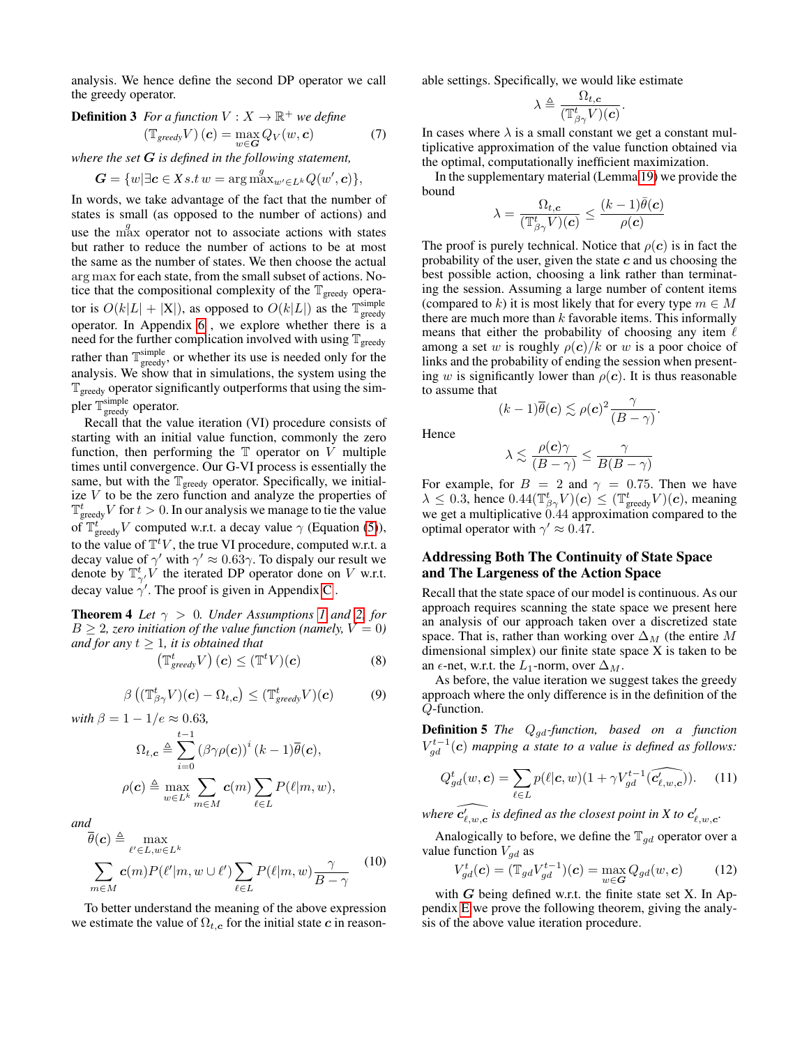<span id="page-4-4"></span>analysis. We hence define the second DP operator we call the greedy operator.

**Definition 3** For a function 
$$
V : X \to \mathbb{R}^+
$$
 we define  
\n $(\mathbb{T}_{greedy} V) (c) = \max_{w \in G} Q_V(w, c)$  (7)

*where the set* G *is defined in the following statement,*

$$
G = \{w | \exists c \in X s.t w = \arg \max_{w' \in L^k} Q(w', c) \},
$$

In words, we take advantage of the fact that the number of states is small (as opposed to the number of actions) and use the  $\max_{\alpha}$  operator not to associate actions with states but rather to reduce the number of actions to be at most the same as the number of states. We then choose the actual arg max for each state, from the small subset of actions. Notice that the compositional complexity of the  $\mathbb{T}_{\text{greedy}}$  operator is  $O(k|L| + |X|)$ , as opposed to  $O(k|L|)$  as the  $\mathbb{T}^{\text{simple}}_{\text{greedy}}$ operator. In Appendix [6](#page-5-0) , we explore whether there is a need for the further complication involved with using  $\mathbb{T}_{\text{greedy}}$ rather than  $\mathbb{T}^{\text{simple}}_{\text{greedy}}$ , or whether its use is needed only for the analysis. We show that in simulations, the system using the  $T_{greedy}$  operator significantly outperforms that using the simpler  $\mathbb{T}^{\text{simple}}_{\text{greedy}}$  operator.

Recall that the value iteration (VI) procedure consists of starting with an initial value function, commonly the zero function, then performing the  $T$  operator on  $V$  multiple times until convergence. Our G-VI process is essentially the same, but with the  $\mathbb{T}_{\text{greedy}}$  operator. Specifically, we initialize  $V$  to be the zero function and analyze the properties of  $\mathbb{T}^t_{\text{greedy}}V$  for  $t > 0$ . In our analysis we manage to tie the value of  $\mathbb{T}^t_{\text{greedy}}V$  computed w.r.t. a decay value  $\gamma$  (Equation [\(5\)](#page-3-3)), to the value of  $\mathbb{T}^t V$ , the true VI procedure, computed w.r.t. a decay value of  $\gamma'$  with  $\gamma' \approx 0.63\gamma$ . To dispaly our result we denote by  $\mathbb{T}_{\gamma'}^t$  the iterated DP operator done on V w.r.t. decay value  $\gamma'$ . The proof is given in Appendix [C](#page-9-0).

<span id="page-4-1"></span>**Theorem 4** *Let*  $\gamma > 0$ *. Under Assumptions [1](#page-3-4) and [2,](#page-3-5) for*  $B \geq 2$ , zero initiation of the value function (namely,  $V = 0$ ) *and for any*  $t \geq 1$ *, it is obtained that* 

<span id="page-4-6"></span>
$$
\left(\mathbb{T}^t_{greedy} V\right)(\boldsymbol{c}) \leq (\mathbb{T}^t V)(\boldsymbol{c}) \tag{8}
$$

$$
\beta\left((\mathbb{T}_{\beta\gamma}^t V)(\boldsymbol{c}) - \Omega_{t,\boldsymbol{c}}\right) \leq (\mathbb{T}_{greedy}^t V)(\boldsymbol{c}) \tag{9}
$$

<span id="page-4-7"></span>*with*  $\beta = 1 - 1/e \approx 0.63$ ,

$$
\Omega_{t,c} \triangleq \sum_{i=0}^{t-1} (\beta \gamma \rho(c))^i (k-1) \overline{\theta}(c),
$$

$$
\rho(c) \triangleq \max_{w \in L^k} \sum_{m \in M} c(m) \sum_{\ell \in L} P(\ell|m, w),
$$

*and*

<span id="page-4-8"></span>
$$
\overline{\theta}(\mathbf{c}) \triangleq \max_{\ell' \in L, w \in L^k} \sum_{m \in M} \mathbf{c}(m) P(\ell'|m, w \cup \ell') \sum_{\ell \in L} P(\ell|m, w) \frac{\gamma}{B - \gamma} \qquad (10)
$$

To better understand the meaning of the above expression we estimate the value of  $\Omega_{t,c}$  for the initial state c in reasonable settings. Specifically, we would like estimate

$$
\lambda \triangleq \frac{\Omega_{t,c}}{(\mathbb{T}_{\beta\gamma}^t V)(c)}.
$$

<span id="page-4-5"></span>In cases where  $\lambda$  is a small constant we get a constant multiplicative approximation of the value function obtained via the optimal, computationally inefficient maximization.

In the supplementary material (Lemma [19\)](#page-14-0) we provide the bound

$$
\lambda = \frac{\Omega_{t,\boldsymbol{c}}}{(\mathbb{T}^t_{\beta\gamma}V)(\boldsymbol{c})} \leq \frac{(k-1)\bar{\theta}(\boldsymbol{c})}{\rho(\boldsymbol{c})}
$$

The proof is purely technical. Notice that  $\rho(c)$  is in fact the probability of the user, given the state  $c$  and us choosing the best possible action, choosing a link rather than terminating the session. Assuming a large number of content items (compared to k) it is most likely that for every type  $m \in M$ there are much more than  $k$  favorable items. This informally means that either the probability of choosing any item  $\ell$ among a set w is roughly  $\rho(c)/k$  or w is a poor choice of links and the probability of ending the session when presenting w is significantly lower than  $\rho(c)$ . It is thus reasonable to assume that

$$
(k-1)\overline{\theta}(\boldsymbol{c}) \lesssim \rho(\boldsymbol{c})^2 \frac{\gamma}{(B-\gamma)}.
$$

Hence

$$
\lambda \lesssim \frac{\rho(\mathbf{c})\gamma}{(B-\gamma)} \le \frac{\gamma}{B(B-\gamma)}
$$

For example, for  $B = 2$  and  $\gamma = 0.75$ . Then we have  $\lambda \leq 0.3$ , hence  $0.44(\mathbb{T}^t_{\beta\gamma}V)(c) \leq (\mathbb{T}^t_{\text{greedy}}V)(c)$ , meaning we get a multiplicative 0.44 approximation compared to the optimal operator with  $\gamma' \approx 0.47$ .

### <span id="page-4-0"></span>Addressing Both The Continuity of State Space and The Largeness of the Action Space

Recall that the state space of our model is continuous. As our approach requires scanning the state space we present here an analysis of our approach taken over a discretized state space. That is, rather than working over  $\Delta_M$  (the entire M dimensional simplex) our finite state space X is taken to be an  $\epsilon$ -net, w.r.t. the  $L_1$ -norm, over  $\Delta_M$ .

As before, the value iteration we suggest takes the greedy approach where the only difference is in the definition of the Q-function.

Definition 5 *The* Qgd*-function, based on a function*  $V_{gd}^{t-1}(c)$  mapping a state to a value is defined as follows:

$$
Q_{gd}^t(w, \mathbf{c}) = \sum_{\ell \in L} p(\ell | \mathbf{c}, w)(1 + \gamma V_{gd}^{t-1}(\widehat{c_{\ell, w, \mathbf{c}}'})). \tag{11}
$$

where  $\widehat{c'_{\ell,w,c}}$  is defined as the closest point in X to  $c'_{\ell,w,c}$ .

Analogically to before, we define the  $\mathbb{T}_{gd}$  operator over a value function  $V_{ad}$  as

<span id="page-4-2"></span>
$$
V_{gd}^t(\mathbf{c}) = (\mathbb{T}_{gd} V_{gd}^{t-1})(\mathbf{c}) = \max_{w \in \mathbf{G}} Q_{gd}(w, \mathbf{c}) \tag{12}
$$

<span id="page-4-3"></span>with  $G$  being defined w.r.t. the finite state set X. In Appendix [E](#page-15-0) we prove the following theorem, giving the analysis of the above value iteration procedure.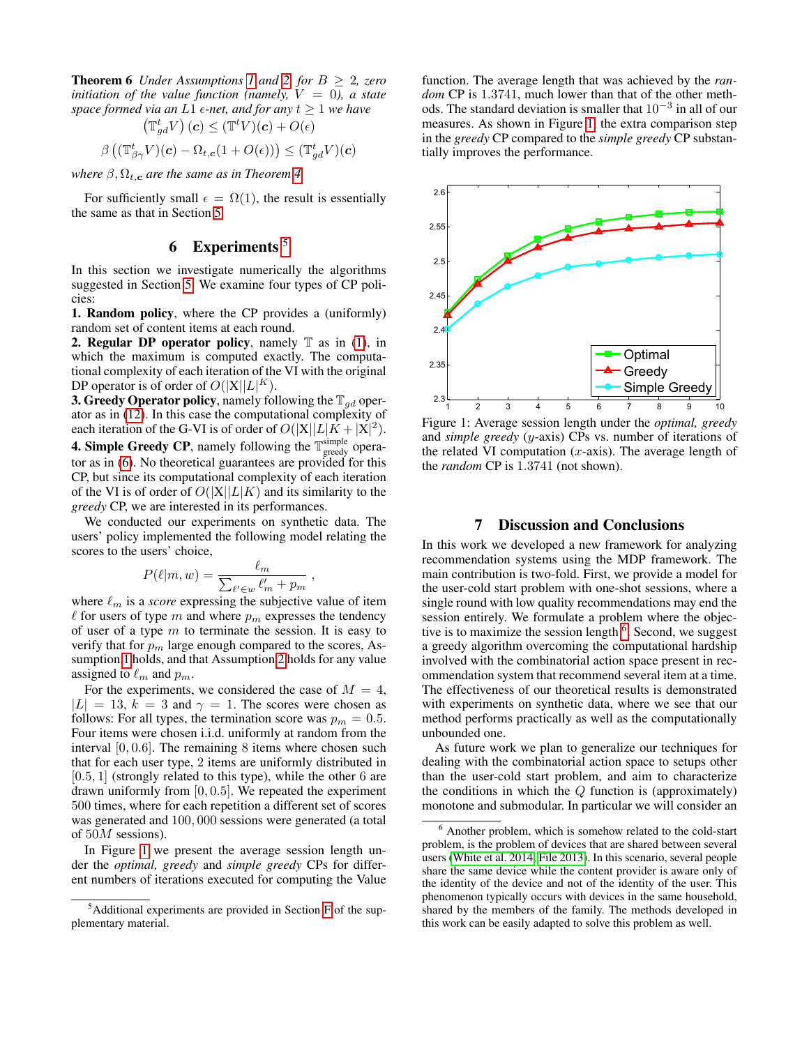**Theorem 6** *Under Assumptions [1](#page-3-4) and [2,](#page-3-5) for*  $B \geq 2$ *, zero initiation of the value function (namely,*  $V = 0$ ), a state *space formed via an*  $L1$   $\epsilon$ -net, and for any  $t \geq 1$  we have

$$
\left(\mathbb{T}_{gd}^t V\right)(\mathbf{c}) \leq (\mathbb{T}^t V)(\mathbf{c}) + O(\epsilon)
$$

$$
\beta \left( \left(\mathbb{T}_{\beta\gamma}^t V\right)(\mathbf{c}) - \Omega_{t,\mathbf{c}} (1 + O(\epsilon)) \right) \leq (\mathbb{T}_{gd}^t V)(\mathbf{c})
$$

*where*  $\beta$ ,  $\Omega$ <sub>*t*, *c*</sub> *are the same as in Theorem [4.](#page-4-1)* 

For sufficiently small  $\epsilon = \Omega(1)$ , the result is essentially the same as that in Section [5.](#page-3-6)

## 6 Experiments  $5$

<span id="page-5-0"></span>In this section we investigate numerically the algorithms suggested in Section [5.](#page-3-1) We examine four types of CP policies:

1. Random policy, where the CP provides a (uniformly) random set of content items at each round.

2. Regular DP operator policy, namely  $\mathbb T$  as in [\(1\)](#page-2-0), in which the maximum is computed exactly. The computational complexity of each iteration of the VI with the original DP operator is of order of  $O(|X||L|^{K})$ .

**3. Greedy Operator policy, namely following the**  $\mathbb{T}_{ad}$  **oper**ator as in [\(12\)](#page-4-2). In this case the computational complexity of each iteration of the G-VI is of order of  $O(|X||L|K + |X|^2)$ .

**4. Simple Greedy CP**, namely following the  $\mathbb{T}^{\text{simple}}_{\text{greedy}}$  operator as in [\(6\)](#page-3-7). No theoretical guarantees are provided for this CP, but since its computational complexity of each iteration of the VI is of order of  $O(|X||L|K)$  and its similarity to the *greedy* CP, we are interested in its performances.

We conducted our experiments on synthetic data. The users' policy implemented the following model relating the scores to the users' choice,

$$
P(\ell|m, w) = \frac{\ell_m}{\sum_{\ell' \in w} \ell'_m + p_m},
$$

where  $\ell_m$  is a *score* expressing the subjective value of item  $\ell$  for users of type m and where  $p_m$  expresses the tendency of user of a type  $m$  to terminate the session. It is easy to verify that for  $p_m$  large enough compared to the scores, Assumption [1](#page-3-4) holds, and that Assumption [2](#page-3-5) holds for any value assigned to  $\ell_m$  and  $p_m$ .

For the experiments, we considered the case of  $M = 4$ ,  $|L| = 13$ ,  $k = 3$  and  $\gamma = 1$ . The scores were chosen as follows: For all types, the termination score was  $p_m = 0.5$ . Four items were chosen i.i.d. uniformly at random from the interval  $[0, 0.6]$ . The remaining 8 items where chosen such that for each user type, 2 items are uniformly distributed in  $[0.5, 1]$  (strongly related to this type), while the other 6 are drawn uniformly from [0, 0.5]. We repeated the experiment 500 times, where for each repetition a different set of scores was generated and 100, 000 sessions were generated (a total of 50M sessions).

In Figure [1](#page-5-2) we present the average session length under the *optimal, greedy* and *simple greedy* CPs for different numbers of iterations executed for computing the Value

function. The average length that was achieved by the *random* CP is 1.3741, much lower than that of the other methods. The standard deviation is smaller that  $10^{-3}$  in all of our measures. As shown in Figure [1,](#page-5-2) the extra comparison step in the *greedy* CP compared to the *simple greedy* CP substantially improves the performance.



Figure 1: Average session length under the *optimal, greedy* and *simple greedy* (y-axis) CPs vs. number of iterations of the related VI computation  $(x$ -axis). The average length of the *random* CP is 1.3741 (not shown).

### <span id="page-5-2"></span>7 Discussion and Conclusions

In this work we developed a new framework for analyzing recommendation systems using the MDP framework. The main contribution is two-fold. First, we provide a model for the user-cold start problem with one-shot sessions, where a single round with low quality recommendations may end the session entirely. We formulate a problem where the objec-tive is to maximize the session length <sup>[6](#page-5-3)</sup>. Second, we suggest a greedy algorithm overcoming the computational hardship involved with the combinatorial action space present in recommendation system that recommend several item at a time. The effectiveness of our theoretical results is demonstrated with experiments on synthetic data, where we see that our method performs practically as well as the computationally unbounded one.

As future work we plan to generalize our techniques for dealing with the combinatorial action space to setups other than the user-cold start problem, and aim to characterize the conditions in which the  $Q$  function is (approximately) monotone and submodular. In particular we will consider an

<span id="page-5-1"></span><sup>5</sup>Additional experiments are provided in Section [F](#page-22-0) of the supplementary material.

<span id="page-5-3"></span><sup>6</sup> Another problem, which is somehow related to the cold-start problem, is the problem of devices that are shared between several users [\(White et al. 2014;](#page-6-14) [File 2013\)](#page-6-15). In this scenario, several people share the same device while the content provider is aware only of the identity of the device and not of the identity of the user. This phenomenon typically occurs with devices in the same household, shared by the members of the family. The methods developed in this work can be easily adapted to solve this problem as well.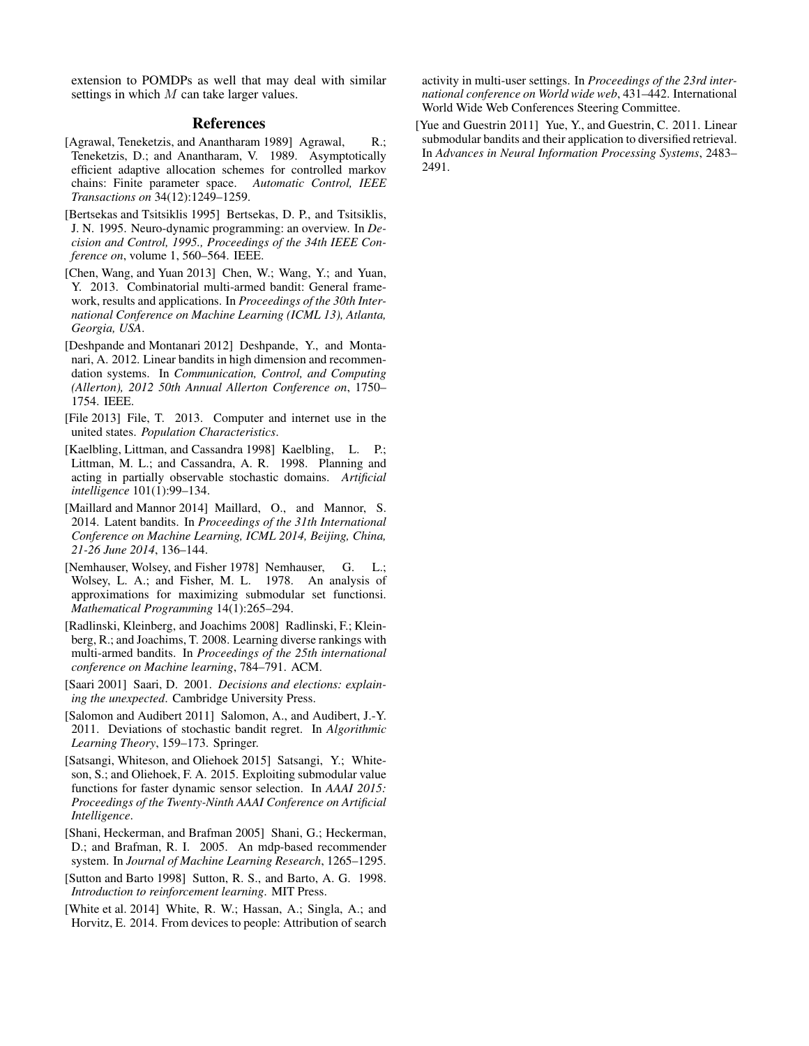extension to POMDPs as well that may deal with similar settings in which M can take larger values.

## References

- <span id="page-6-0"></span>[Agrawal, Teneketzis, and Anantharam 1989] Agrawal, R.; Teneketzis, D.; and Anantharam, V. 1989. Asymptotically efficient adaptive allocation schemes for controlled markov chains: Finite parameter space. *Automatic Control, IEEE Transactions on* 34(12):1249–1259.
- <span id="page-6-3"></span>[Bertsekas and Tsitsiklis 1995] Bertsekas, D. P., and Tsitsiklis, J. N. 1995. Neuro-dynamic programming: an overview. In *Decision and Control, 1995., Proceedings of the 34th IEEE Conference on*, volume 1, 560–564. IEEE.
- <span id="page-6-12"></span>[Chen, Wang, and Yuan 2013] Chen, W.; Wang, Y.; and Yuan, Y. 2013. Combinatorial multi-armed bandit: General framework, results and applications. In *Proceedings of the 30th International Conference on Machine Learning (ICML 13), Atlanta, Georgia, USA*.
- <span id="page-6-9"></span>[Deshpande and Montanari 2012] Deshpande, Y., and Montanari, A. 2012. Linear bandits in high dimension and recommendation systems. In *Communication, Control, and Computing (Allerton), 2012 50th Annual Allerton Conference on*, 1750– 1754. IEEE.
- <span id="page-6-15"></span>[File 2013] File, T. 2013. Computer and internet use in the united states. *Population Characteristics*.
- <span id="page-6-10"></span>[Kaelbling, Littman, and Cassandra 1998] Kaelbling, L. P.; Littman, M. L.; and Cassandra, A. R. 1998. Planning and acting in partially observable stochastic domains. *Artificial intelligence* 101(1):99–134.
- <span id="page-6-2"></span>[Maillard and Mannor 2014] Maillard, O., and Mannor, S. 2014. Latent bandits. In *Proceedings of the 31th International Conference on Machine Learning, ICML 2014, Beijing, China, 21-26 June 2014*, 136–144.
- <span id="page-6-5"></span>[Nemhauser, Wolsey, and Fisher 1978] Nemhauser, G. L.; Wolsey, L. A.; and Fisher, M. L. 1978. An analysis of approximations for maximizing submodular set functionsi. *Mathematical Programming* 14(1):265–294.
- <span id="page-6-6"></span>[Radlinski, Kleinberg, and Joachims 2008] Radlinski, F.; Kleinberg, R.; and Joachims, T. 2008. Learning diverse rankings with multi-armed bandits. In *Proceedings of the 25th international conference on Machine learning*, 784–791. ACM.
- <span id="page-6-13"></span>[Saari 2001] Saari, D. 2001. *Decisions and elections: explaining the unexpected*. Cambridge University Press.
- <span id="page-6-1"></span>[Salomon and Audibert 2011] Salomon, A., and Audibert, J.-Y. 2011. Deviations of stochastic bandit regret. In *Algorithmic Learning Theory*, 159–173. Springer.
- <span id="page-6-11"></span>[Satsangi, Whiteson, and Oliehoek 2015] Satsangi, Y.; Whiteson, S.; and Oliehoek, F. A. 2015. Exploiting submodular value functions for faster dynamic sensor selection. In *AAAI 2015: Proceedings of the Twenty-Ninth AAAI Conference on Artificial Intelligence*.
- <span id="page-6-8"></span>[Shani, Heckerman, and Brafman 2005] Shani, G.; Heckerman, D.; and Brafman, R. I. 2005. An mdp-based recommender system. In *Journal of Machine Learning Research*, 1265–1295.
- <span id="page-6-4"></span>[Sutton and Barto 1998] Sutton, R. S., and Barto, A. G. 1998. *Introduction to reinforcement learning*. MIT Press.
- <span id="page-6-14"></span>[White et al. 2014] White, R. W.; Hassan, A.; Singla, A.; and Horvitz, E. 2014. From devices to people: Attribution of search

activity in multi-user settings. In *Proceedings of the 23rd international conference on World wide web*, 431–442. International World Wide Web Conferences Steering Committee.

<span id="page-6-7"></span>[Yue and Guestrin 2011] Yue, Y., and Guestrin, C. 2011. Linear submodular bandits and their application to diversified retrieval. In *Advances in Neural Information Processing Systems*, 2483– 2491.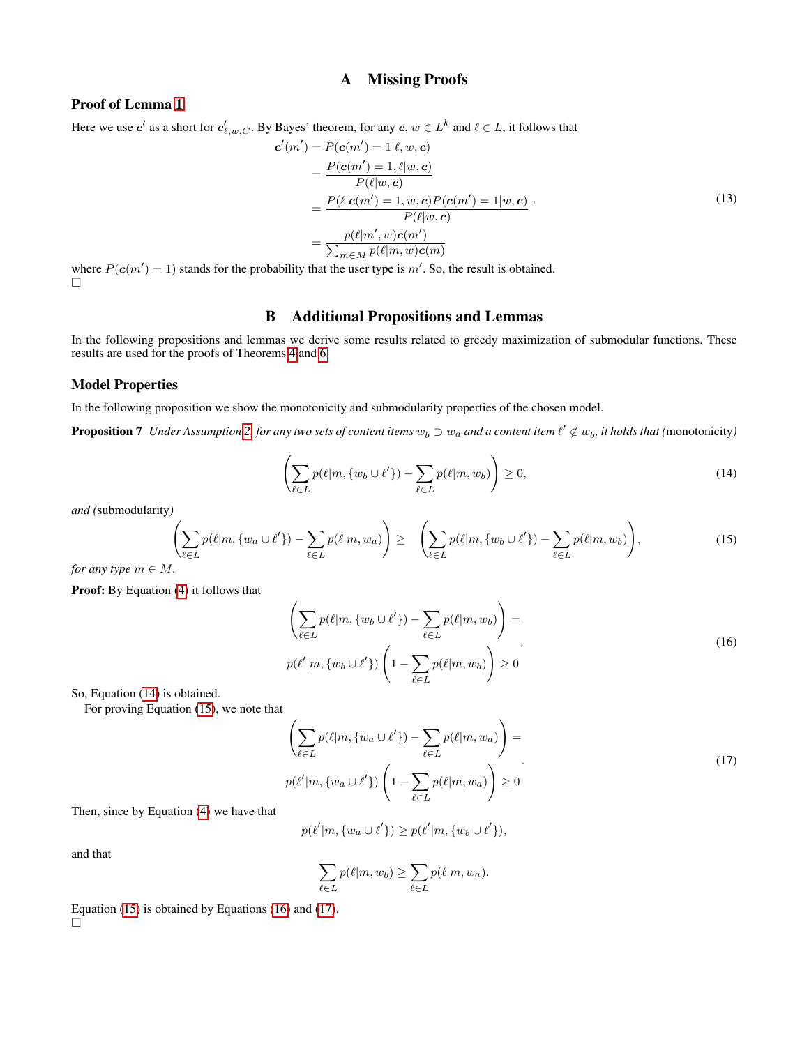## A Missing Proofs

## <span id="page-7-0"></span>Proof of Lemma [1](#page-2-3)

Here we use  $c'$  as a short for  $c'_{\ell,w,C}$ . By Bayes' theorem, for any  $c,w\in L^k$  and  $\ell\in L$ , it follows that

$$
\mathbf{c}'(m') = P(\mathbf{c}(m') = 1 | \ell, w, \mathbf{c}) \n= \frac{P(\mathbf{c}(m') = 1, \ell | w, \mathbf{c})}{P(\ell | w, \mathbf{c})} \n= \frac{P(\ell | \mathbf{c}(m') = 1, w, \mathbf{c}) P(\mathbf{c}(m') = 1 | w, \mathbf{c})}{P(\ell | w, \mathbf{c})} \n= \frac{p(\ell | m', w) \mathbf{c}(m')}{\sum_{m \in M} p(\ell | m, w) \mathbf{c}(m)}
$$
\n(13)

where  $P(c(m') = 1)$  stands for the probability that the user type is m'. So, the result is obtained.  $\Box$ 

## B Additional Propositions and Lemmas

In the following propositions and lemmas we derive some results related to greedy maximization of submodular functions. These results are used for the proofs of Theorems [4](#page-4-1) and [6.](#page-4-3)

## <span id="page-7-1"></span>Model Properties

In the following proposition we show the monotonicity and submodularity properties of the chosen model.

<span id="page-7-2"></span>**Proposition 7** Under Assumption [2,](#page-3-5) for any two sets of content items  $w_b \supset w_a$  and a content item  $\ell' \notin w_b$ , it holds that (monotonicity)

<span id="page-7-6"></span>
$$
\left(\sum_{\ell \in L} p(\ell|m, \{w_b \cup \ell'\}) - \sum_{\ell \in L} p(\ell|m, w_b)\right) \ge 0,
$$
\n(14)

*and (*submodularity*)*

<span id="page-7-3"></span>
$$
\left(\sum_{\ell \in L} p(\ell|m, \{w_a \cup \ell'\}) - \sum_{\ell \in L} p(\ell|m, w_a)\right) \geq \left(\sum_{\ell \in L} p(\ell|m, \{w_b \cup \ell'\}) - \sum_{\ell \in L} p(\ell|m, w_b)\right),\tag{15}
$$

*for any type*  $m \in M$ *.* 

Proof: By Equation [\(4\)](#page-3-8) it follows that

<span id="page-7-4"></span>
$$
\left(\sum_{\ell \in L} p(\ell|m, \{w_b \cup \ell'\}) - \sum_{\ell \in L} p(\ell|m, w_b)\right) =
$$
\n
$$
p(\ell'|m, \{w_b \cup \ell'\}) \left(1 - \sum_{\ell \in L} p(\ell|m, w_b)\right) \ge 0
$$
\n(16)

So, Equation [\(14\)](#page-7-2) is obtained.

For proving Equation [\(15\)](#page-7-3), we note that

<span id="page-7-5"></span>
$$
\left(\sum_{\ell \in L} p(\ell|m, \{w_a \cup \ell'\}) - \sum_{\ell \in L} p(\ell|m, w_a)\right) =
$$
\n
$$
p(\ell'|m, \{w_a \cup \ell'\}) \left(1 - \sum_{\ell \in L} p(\ell|m, w_a)\right) \ge 0
$$
\n(17)

Then, since by Equation [\(4\)](#page-3-8) we have that

 $p(\ell'|m, \{w_a \cup \ell'\}) \geq p(\ell'|m, \{w_b \cup \ell'\}),$ 

and that

$$
\sum_{\ell \in L} p(\ell | m, w_b) \ge \sum_{\ell \in L} p(\ell | m, w_a).
$$

Equation [\(15\)](#page-7-3) is obtained by Equations [\(16\)](#page-7-4) and [\(17\)](#page-7-5).  $\Box$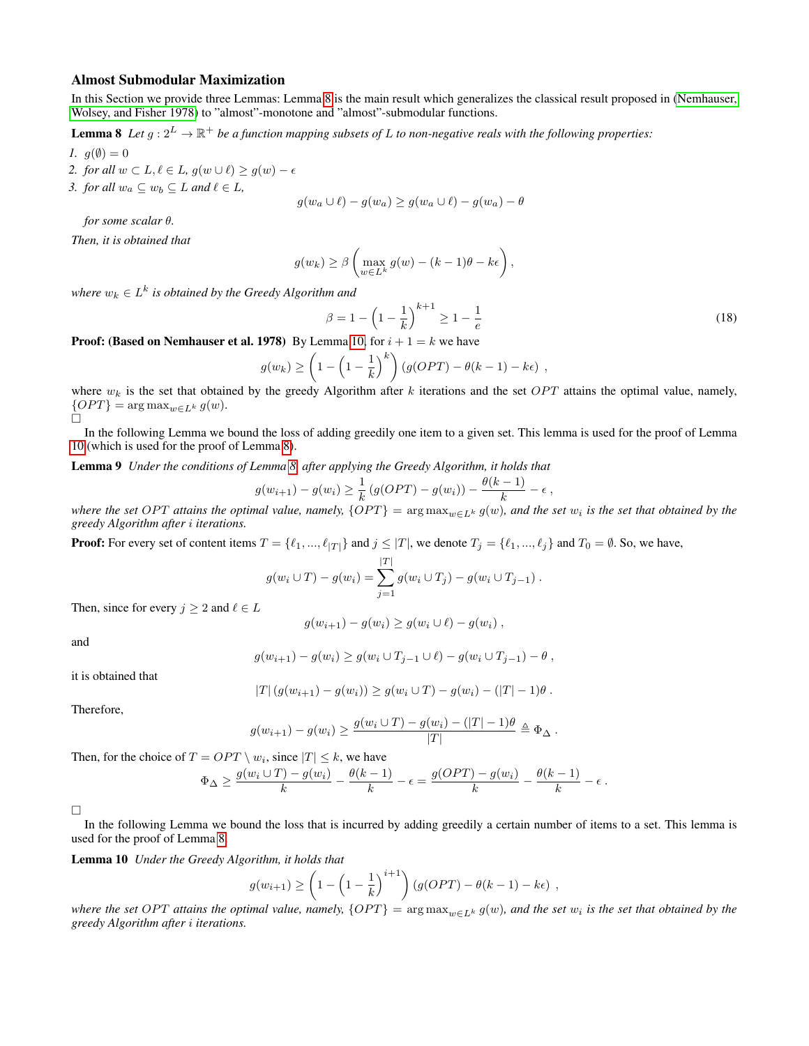#### Almost Submodular Maximization

In this Section we provide three Lemmas: Lemma [8](#page-8-0) is the main result which generalizes the classical result proposed in [\(Nemhauser,](#page-6-5) [Wolsey, and Fisher 1978\)](#page-6-5) to "almost"-monotone and "almost"-submodular functions.

**Lemma 8** Let  $g: 2^L \to \mathbb{R}^+$  be a function mapping subsets of L to non-negative reals with the following properties:

*1.*  $q(\emptyset) = 0$ 

- *2. for all*  $w \subset L, \ell \in L, g(w \cup \ell) \ge g(w) \epsilon$
- *3. for all*  $w_a \subseteq w_b \subseteq L$  *and*  $\ell \in L$ *,*

<span id="page-8-0"></span>
$$
g(w_a \cup \ell) - g(w_a) \ge g(w_a \cup \ell) - g(w_a) - \theta
$$

*for some scalar* θ*.*

*Then, it is obtained that*

$$
g(w_k) \geq \beta \left( \max_{w \in L^k} g(w) - (k-1)\theta - k\epsilon \right),\,
$$

where  $w_k \in L^k$  is obtained by the Greedy Algorithm and

<span id="page-8-3"></span>
$$
\beta = 1 - \left(1 - \frac{1}{k}\right)^{k+1} \ge 1 - \frac{1}{e} \tag{18}
$$

**Proof: (Based on Nemhauser et al. 1978)** By Lemma [10,](#page-8-1) for  $i + 1 = k$  we have

$$
g(w_k) \ge \left(1 - \left(1 - \frac{1}{k}\right)^k\right) \left(g(OPT) - \theta(k-1) - k\epsilon\right) ,
$$

where  $w_k$  is the set that obtained by the greedy Algorithm after k iterations and the set  $OPT$  attains the optimal value, namely,  ${OPT}$  = arg max<sub>w∈L<sup>k</sup></sub> g(w).

In the following Lemma we bound the loss of adding greedily one item to a given set. This lemma is used for the proof of Lemma [10](#page-8-1) (which is used for the proof of Lemma [8\)](#page-8-0).

Lemma 9 *Under the conditions of Lemma [8,](#page-8-0) after applying the Greedy Algorithm, it holds that*

<span id="page-8-2"></span>
$$
g(w_{i+1}) - g(w_i) \geq \frac{1}{k} (g(OPT) - g(w_i)) - \frac{\theta(k-1)}{k} - \epsilon,
$$

where the set OPT attains the optimal value, namely,  $\{OPT\} = \argmax_{w \in L^k} g(w)$ , and the set  $w_i$  is the set that obtained by the *greedy Algorithm after* i *iterations.*

**Proof:** For every set of content items  $T = \{\ell_1, ..., \ell_{|T|}\}$  and  $j \leq |T|$ , we denote  $T_j = \{\ell_1, ..., \ell_j\}$  and  $T_0 = \emptyset$ . So, we have,

$$
g(w_i \cup T) - g(w_i) = \sum_{j=1}^{|T|} g(w_i \cup T_j) - g(w_i \cup T_{j-1}).
$$

Then, since for every  $j \geq 2$  and  $\ell \in L$ 

$$
g(w_{i+1}) - g(w_i) \ge g(w_i \cup \ell) - g(w_i) ,
$$

and

$$
g(w_{i+1}) - g(w_i) \ge g(w_i \cup T_{j-1} \cup \ell) - g(w_i \cup T_{j-1}) - \theta,
$$

it is obtained that

$$
|T| (g(w_{i+1}) - g(w_i)) \ge g(w_i \cup T) - g(w_i) - (|T| - 1)\theta
$$
.

Therefore,

$$
g(w_{i+1}) - g(w_i) \ge \frac{g(w_i \cup T) - g(w_i) - (|T| - 1)\theta}{|T|} \triangleq \Phi_{\Delta}.
$$

Then, for the choice of  $T = OPT \setminus w_i$ , since  $|T| \leq k$ , we have

$$
\Phi_{\Delta} \ge \frac{g(w_i \cup T) - g(w_i)}{k} - \frac{\theta(k-1)}{k} - \epsilon = \frac{g(OPT) - g(w_i)}{k} - \frac{\theta(k-1)}{k} - \epsilon.
$$

 $\Box$ 

In the following Lemma we bound the loss that is incurred by adding greedily a certain number of items to a set. This lemma is used for the proof of Lemma [8.](#page-8-0)

<span id="page-8-1"></span>Lemma 10 *Under the Greedy Algorithm, it holds that*

$$
g(w_{i+1}) \ge \left(1 - \left(1 - \frac{1}{k}\right)^{i+1}\right) (g(OPT) - \theta(k-1) - k\epsilon) ,
$$

where the set OPT attains the optimal value, namely,  $\{OPT\} = \argmax_{w \in L^k} g(w)$ , and the set  $w_i$  is the set that obtained by the *greedy Algorithm after* i *iterations.*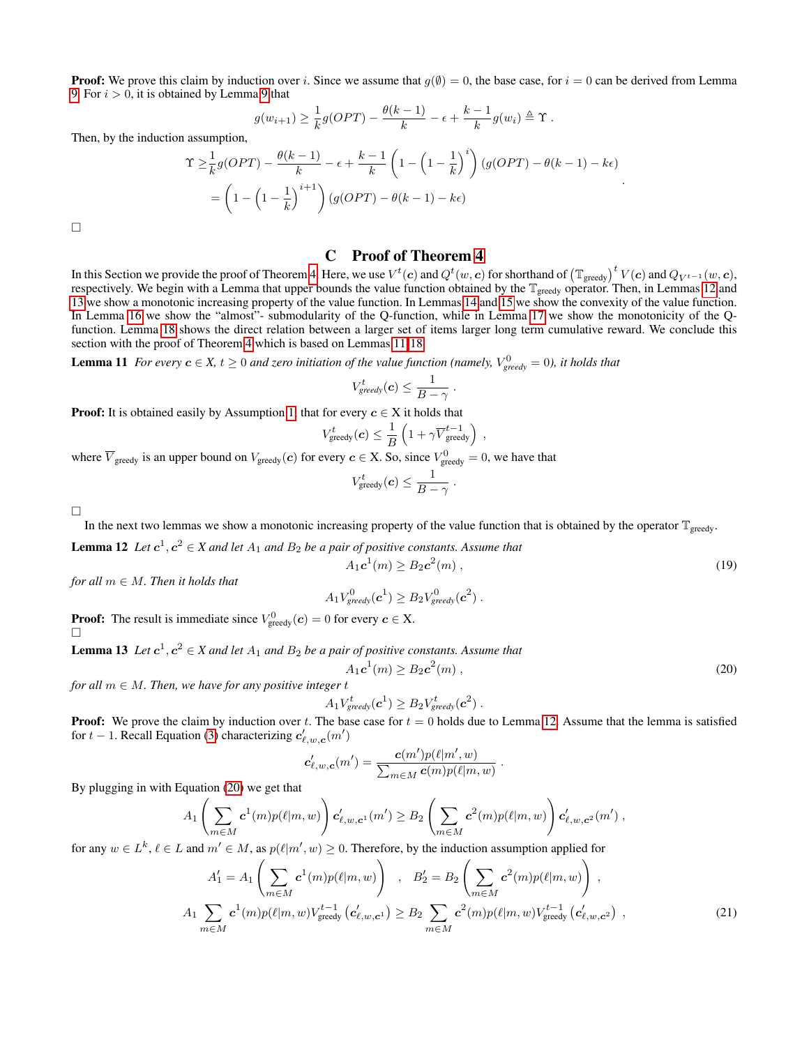**Proof:** We prove this claim by induction over i. Since we assume that  $q(\emptyset) = 0$ , the base case, for  $i = 0$  can be derived from Lemma [9.](#page-8-2) For  $i > 0$ , it is obtained by Lemma [9](#page-8-2) that

$$
g(w_{i+1}) \geq \frac{1}{k}g(OPT) - \frac{\theta(k-1)}{k} - \epsilon + \frac{k-1}{k}g(w_i) \triangleq \Upsilon.
$$

Then, by the induction assumption,

$$
\begin{split} \Upsilon &\geq \frac{1}{k}g(OPT) - \frac{\theta(k-1)}{k} - \epsilon + \frac{k-1}{k}\left(1 - \left(1 - \frac{1}{k}\right)^i\right)(g(OPT) - \theta(k-1) - k\epsilon) \\ &= \left(1 - \left(1 - \frac{1}{k}\right)^{i+1}\right)(g(OPT) - \theta(k-1) - k\epsilon) \end{split}.
$$

<span id="page-9-0"></span> $\Box$ 

### C Proof of Theorem [4](#page-4-1)

In this Section we provide the proof of Theorem [4.](#page-4-1) Here, we use  $V^t({\bf c})$  and  $Q^t(w,{\bf c})$  for shorthand of  $\left(\mathbb{T}_{\rm greedy}\right)^t V({\bf c})$  and  $Q_{V^{t-1}}(w,{\bf c}),$ respectively. We begin with a Lemma that upper bounds the value function obtained by the  $\mathbb{T}_{\text{greedy}}$  operator. Then, in Lemmas [12](#page-9-1) and [13](#page-9-2) we show a monotonic increasing property of the value function. In Lemmas [14](#page-10-0) and [15](#page-10-1) we show the convexity of the value function. In Lemma [16](#page-11-0) we show the "almost"- submodularity of the Q-function, while in Lemma [17](#page-12-0) we show the monotonicity of the Qfunction. Lemma [18](#page-12-1) shows the direct relation between a larger set of items larger long term cumulative reward. We conclude this section with the proof of Theorem [4](#page-4-1) which is based on Lemmas [11-](#page-9-3)[18.](#page-12-1)

<span id="page-9-3"></span>**Lemma 11** For every  $c \in X$ ,  $t \ge 0$  and zero initiation of the value function (namely,  $V_{greedy}^0 = 0$ ), it holds that

$$
V_{greedy}^t(\boldsymbol{c}) \leq \frac{1}{B - \gamma}
$$

.

.

,

<span id="page-9-4"></span> $(m)$ , (19)

**Proof:** It is obtained easily by Assumption [1,](#page-3-4) that for every  $c \in X$  it holds that

$$
r^t_{\rm greedy}(\boldsymbol{c}) \leq \frac{1}{B}\left(1 + \gamma \overline{V}_{\rm greedy}^{t-1}\right)
$$

where  $\overline{V}_{\text{greedy}}$  is an upper bound on  $V_{\text{greedy}}(c)$  for every  $c \in X$ . So, since  $V_{\text{greedy}}^0 = 0$ , we have that

V

$$
V^t_{\text{greedy}}(\boldsymbol{c}) \leq \frac{1}{B - \gamma}
$$

 $\Box$ 

In the next two lemmas we show a monotonic increasing property of the value function that is obtained by the operator  $\mathbb{T}_{\text{greedy}}$ .

<span id="page-9-1"></span>**Lemma 12** Let  $c^1, c^2 \in X$  and let  $A_1$  and  $B_2$  be a pair of positive constants. Assume that  $A_1 c^1(m) \ge B_2 c^2$ 

*for all*  $m \in M$ *. Then it holds that* 

$$
A_1V_{greedy}^0(\boldsymbol{c}^1) \ge B_2V_{greedy}^0(\boldsymbol{c}^2).
$$

<span id="page-9-2"></span>**Proof:** The result is immediate since  $V_{\text{greedy}}^0(c) = 0$  for every  $c \in X$ .

**Lemma 13** Let  $c^1, c^2 \in X$  and let  $A_1$  and  $B_2$  be a pair of positive constants. Assume that  $A_1\boldsymbol{c}^1(m) \ge B_2\boldsymbol{c}^2$  $(m)$ , (20)

*for all*  $m \in M$ *. Then, we have for any positive integer t* 

$$
A_1V_{greedy}^t(\boldsymbol{c}^1) \ge B_2V_{greedy}^t(\boldsymbol{c}^2).
$$

**Proof:** We prove the claim by induction over t. The base case for  $t = 0$  holds due to Lemma [12.](#page-9-1) Assume that the lemma is satisfied for  $t - 1$ . Recall Equation [\(3\)](#page-2-4) characterizing  $c'_{\ell,w,c}(m')$ 

$$
\mathbf{c}'_{\ell,w,\mathbf{c}}(m') = \frac{\mathbf{c}(m')p(\ell|m',w)}{\sum_{m \in M} \mathbf{c}(m)p(\ell|m,w)}
$$

By plugging in with Equation [\(20\)](#page-9-4) we get that

$$
A_1\left(\sum_{m\in M} \mathbf{c}^1(m)p(\ell|m,w)\right)\mathbf{c}'_{\ell,w,\mathbf{c}^1}(m')\geq B_2\left(\sum_{m\in M} \mathbf{c}^2(m)p(\ell|m,w)\right)\mathbf{c}'_{\ell,w,\mathbf{c}^2}(m'),
$$

<span id="page-9-5"></span>for any  $w \in L^k$ ,  $\ell \in L$  and  $m' \in M$ , as  $p(\ell | m', w) \ge 0$ . Therefore, by the induction assumption applied for

$$
A'_{1} = A_{1} \left( \sum_{m \in M} c^{1}(m) p(\ell | m, w) \right) , B'_{2} = B_{2} \left( \sum_{m \in M} c^{2}(m) p(\ell | m, w) \right) ,
$$
  

$$
A_{1} \sum_{m \in M} c^{1}(m) p(\ell | m, w) V_{\text{greedy}}^{t-1} (c'_{\ell, w, c^{1}}) \ge B_{2} \sum_{m \in M} c^{2}(m) p(\ell | m, w) V_{\text{greedy}}^{t-1} (c'_{\ell, w, c^{2}}) ,
$$
 (21)

.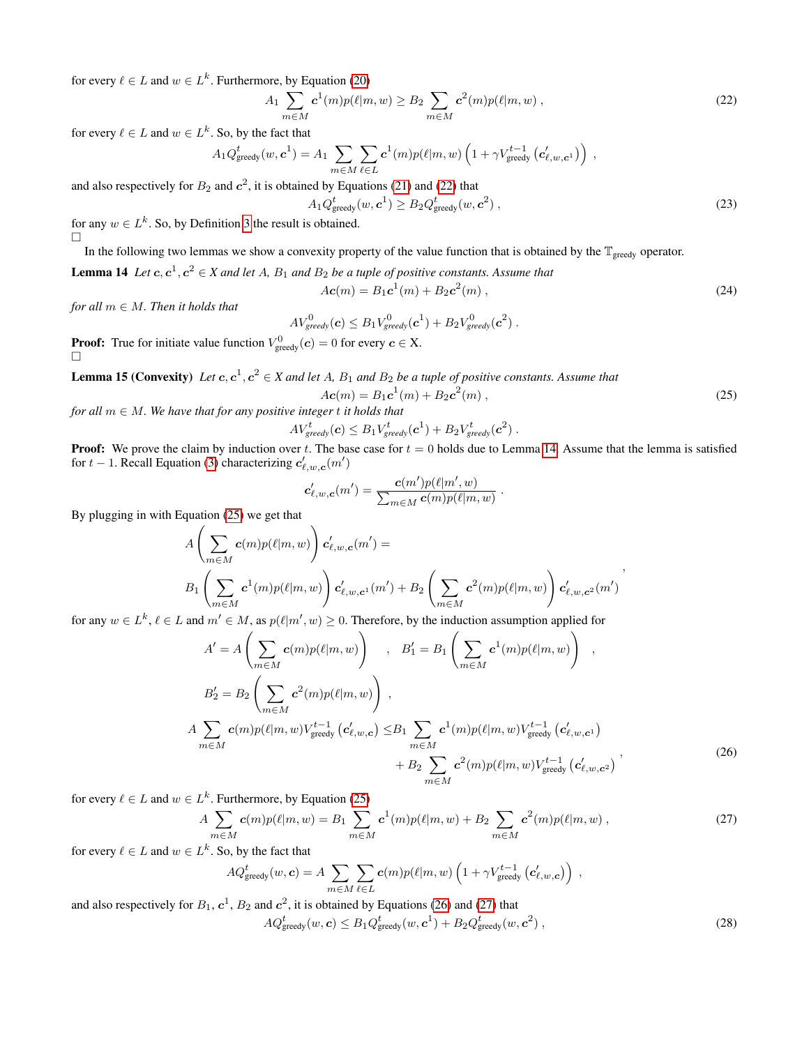for every  $\ell \in L$  and  $w \in L^k$ . Furthermore, by Equation [\(20\)](#page-9-4)

<span id="page-10-2"></span> $A_1$   $\sum$ m∈M  $\bm{c}^1(m) p(\ell | m, w) \geq B_2 \left( \sum_{k=1}^n w_k \right)$ m∈M  $c^2(m)p(\ell|m, w)$ , (22)

for every  $\ell \in L$  and  $w \in L^k$ . So, by the fact that

$$
A_1 Q_{\text{greedy}}^t(w, \mathbf{c}^1) = A_1 \sum_{m \in M} \sum_{\ell \in L} \mathbf{c}^1(m) p(\ell|m, w) \left(1 + \gamma V_{\text{greedy}}^{t-1} \left(\mathbf{c}'_{\ell,w,\mathbf{c}^1}\right)\right) ,
$$

and also respectively for  $B_2$  and  $c^2$ , it is obtained by Equations [\(21\)](#page-9-5) and [\(22\)](#page-10-2) that

$$
A_1 Q_{\text{greedy}}^t(w, \mathbf{c}^1) \ge B_2 Q_{\text{greedy}}^t(w, \mathbf{c}^2) ,
$$
 (23)

for any  $w \in L^k$ . So, by Definition [3](#page-4-4) the result is obtained.  $\Box$ 

In the following two lemmas we show a convexity property of the value function that is obtained by the  $\mathbb{T}_{\text{greedy}}$  operator.

**Lemma 14** Let  $c, c^1, c^2 \in X$  and let A,  $B_1$  and  $B_2$  be a tuple of positive constants. Assume that

$$
Ac(m) = B_1 c^1(m) + B_2 c^2(m), \qquad (24)
$$

*for all*  $m \in M$ *. Then it holds that* 

$$
AV_{greedy}^0(\boldsymbol{c}) \leq B_1 V_{greedy}^0(\boldsymbol{c}^1) + B_2 V_{greedy}^0(\boldsymbol{c}^2) .
$$

**Proof:** True for initiate value function  $V_{\text{greedy}}^0(\boldsymbol{c}) = 0$  for every  $\boldsymbol{c} \in \mathbf{X}$ . □

<span id="page-10-1"></span>**Lemma 15 (Convexity)** Let  $c, c^1, c^2 \in X$  and let A,  $B_1$  and  $B_2$  be a tuple of positive constants. Assume that

$$
Ac(m) = B_1 c^1(m) + B_2 c^2(m), \qquad (25)
$$

,

<span id="page-10-3"></span><span id="page-10-0"></span>.

*for all*  $m \in M$ *. We have that for any positive integer t it holds that* 

 $\boldsymbol{A}$ 

$$
V_{greedy}^t(\boldsymbol{c}) \leq B_1 V_{greedy}^t(\boldsymbol{c}^1) + B_2 V_{greedy}^t(\boldsymbol{c}^2) \ .
$$

**Proof:** We prove the claim by induction over t. The base case for  $t = 0$  holds due to Lemma [14.](#page-10-0) Assume that the lemma is satisfied for  $t - 1$ . Recall Equation [\(3\)](#page-2-4) characterizing  $c'_{\ell,w,c}(m')$ 

$$
\boldsymbol{c}'_{\ell,w,\boldsymbol{c}}(m') = \frac{\boldsymbol{c}(m')p(\ell|m',w)}{\sum_{m\in M}\boldsymbol{c}(m)p(\ell|m,w)}
$$

By plugging in with Equation [\(25\)](#page-10-3) we get that

$$
A\left(\sum_{m\in M}c(m)p(\ell|m,w)\right)c'_{\ell,w,\mathbf{c}}(m') =
$$
  

$$
B_1\left(\sum_{m\in M}c^1(m)p(\ell|m,w)\right)c'_{\ell,w,\mathbf{c}^1}(m') + B_2\left(\sum_{m\in M}c^2(m)p(\ell|m,w)\right)c'_{\ell,w,\mathbf{c}^2}(m')
$$

for any  $w \in L^k$ ,  $\ell \in L$  and  $m' \in M$ , as  $p(\ell | m', w) \ge 0$ . Therefore, by the induction assumption applied for

$$
A' = A\left(\sum_{m \in M} c(m)p(\ell|m, w)\right) , B'_1 = B_1\left(\sum_{m \in M} c^1(m)p(\ell|m, w)\right) ,
$$
  
\n
$$
B'_2 = B_2\left(\sum_{m \in M} c^2(m)p(\ell|m, w)\right) ,
$$
  
\n
$$
A \sum_{m \in M} c(m)p(\ell|m, w)V_{\text{greedy}}^{t-1} (c'_{\ell, w, c}) \leq B_1 \sum_{m \in M} c^1(m)p(\ell|m, w)V_{\text{greedy}}^{t-1} (c'_{\ell, w, c^1})
$$
  
\n
$$
+ B_2 \sum_{m \in M} c^2(m)p(\ell|m, w)V_{\text{greedy}}^{t-1} (c'_{\ell, w, c^2})
$$
\n(26)

<span id="page-10-4"></span>for every  $\ell \in L$  and  $w \in L^k$ . Furthermore, by Equation [\(25\)](#page-10-3)

$$
A \sum_{m \in M} c(m)p(\ell|m, w) = B_1 \sum_{m \in M} c^1(m)p(\ell|m, w) + B_2 \sum_{m \in M} c^2(m)p(\ell|m, w) , \qquad (27)
$$

for every  $\ell \in L$  and  $w \in L^k$ . So, by the fact that

<span id="page-10-5"></span>
$$
AQ_{\text{greedy}}^t(w, \mathbf{c}) = A \sum_{m \in M} \sum_{\ell \in L} \mathbf{c}(m) p(\ell|m, w) \left(1 + \gamma V_{\text{greedy}}^{t-1} (\mathbf{c}'_{\ell, w, \mathbf{c}})\right) ,
$$

and also respectively for  $B_1$ ,  $c^1$ ,  $B_2$  and  $c^2$ , it is obtained by Equations [\(26\)](#page-10-4) and [\(27\)](#page-10-5) that

$$
AQ_{\text{greedy}}^{t}(w, \mathbf{c}) \le B_1 Q_{\text{greedy}}^{t}(w, \mathbf{c}^1) + B_2 Q_{\text{greedy}}^{t}(w, \mathbf{c}^2) ,
$$
\n
$$
(28)
$$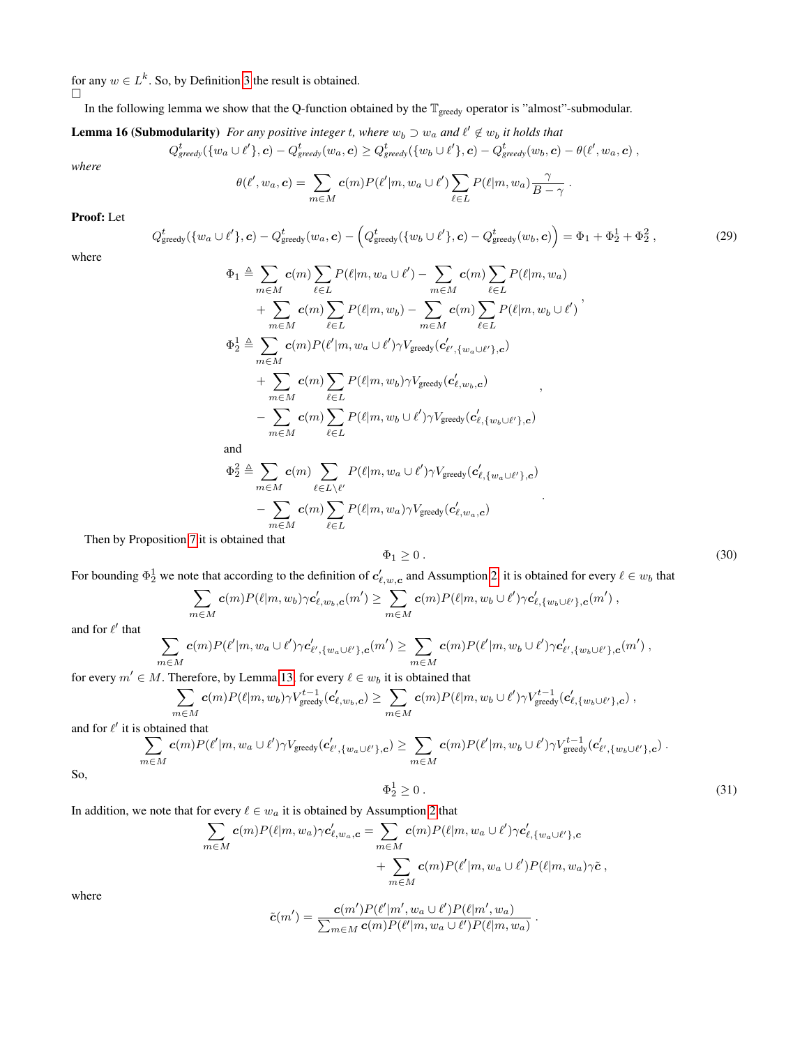for any  $w \in L^k$ . So, by Definition [3](#page-4-4) the result is obtained.

 $\Box$ 

In the following lemma we show that the Q-function obtained by the  $\mathbb{T}_{greedy}$  operator is "almost"-submodular.

<span id="page-11-0"></span>**Lemma 16 (Submodularity)** For any positive integer t, where  $w_b \supset w_a$  and  $\ell' \notin w_b$  it holds that

$$
Q_{greedy}^t(\{w_a \cup \ell'\}, \bm{c}) - Q_{greedy}^t(w_a, \bm{c}) \geq Q_{greedy}^t(\{w_b \cup \ell'\}, \bm{c}) - Q_{greedy}^t(w_b, \bm{c}) - \theta(\ell', w_a, \bm{c})~,
$$

*where*

$$
\theta(\ell', w_a, \mathbf{c}) = \sum_{m \in M} \mathbf{c}(m) P(\ell'|m, w_a \cup \ell') \sum_{\ell \in L} P(\ell|m, w_a) \frac{\gamma}{B - \gamma}
$$

## Proof: Let

 $\overline{Q}$ 

$$
{}_{\text{greedy}}^t(\{w_a \cup \ell'\}, \mathbf{c}) - Q_{\text{greedy}}^t(w_a, \mathbf{c}) - \left(Q_{\text{greedy}}^t(\{w_b \cup \ell'\}, \mathbf{c}) - Q_{\text{greedy}}^t(w_b, \mathbf{c})\right) = \Phi_1 + \Phi_2^1 + \Phi_2^2,
$$
\n(29)

where

$$
\Phi_1 \triangleq \sum_{m \in M} c(m) \sum_{\ell \in L} P(\ell|m, w_a \cup \ell') - \sum_{m \in M} c(m) \sum_{\ell \in L} P(\ell|m, w_a) \n+ \sum_{m \in M} c(m) \sum_{\ell \in L} P(\ell|m, w_b) - \sum_{m \in M} c(m) \sum_{\ell \in L} P(\ell|m, w_b \cup \ell') \n\Phi_2^1 \triangleq \sum_{m \in M} c(m) P(\ell'|m, w_a \cup \ell') \gamma V_{\text{greedy}}(c'_{\ell', \{w_a \cup \ell'\}, c}) \n+ \sum_{m \in M} c(m) \sum_{\ell \in L} P(\ell|m, w_b) \gamma V_{\text{greedy}}(c'_{\ell, w_b, c}) \n- \sum_{m \in M} c(m) \sum_{\ell \in L} P(\ell|m, w_b \cup \ell') \gamma V_{\text{greedy}}(c'_{\ell, \{w_b \cup \ell'\}, c})
$$
\nand

$$
\Phi_2^2 \triangleq \sum_{m \in M} c(m) \sum_{\ell \in L \setminus \ell'} P(\ell|m, w_a \cup \ell') \gamma V_{\text{greedy}}(c'_{\ell, \{w_a \cup \ell'\}, \mathbf{c}}) - \sum_{m \in M} c(m) \sum_{\ell \in L} P(\ell|m, w_a) \gamma V_{\text{greedy}}(c'_{\ell, w_a, \mathbf{c}})
$$
\nobtained that

Then by Proposition [7](#page-7-6) it is obtained that

<span id="page-11-1"></span>
$$
\Phi_1 \ge 0 \tag{30}
$$

For bounding  $\Phi_2^1$  we note that according to the definition of  $c'_{\ell,w,c}$  and Assumption [2,](#page-3-5) it is obtained for every  $\ell \in w_b$  that

$$
\sum_{m\in M} \mathbf{c}(m) P(\ell|m,w_b) \gamma \mathbf{c}'_{\ell,w_b,\mathbf{c}}(m') \geq \sum_{m\in M} \mathbf{c}(m) P(\ell|m,w_b \cup \ell') \gamma \mathbf{c}'_{\ell,\{w_b \cup \ell'\},\mathbf{c}}(m') ,
$$

and for  $\ell'$  that

$$
\sum_{m\in M} \mathbf{c}(m) P(\ell'|m,w_a\cup \ell')\gamma \mathbf{c}'_{\ell',\{w_a\cup \ell'\},\mathbf{c}}(m') \geq \sum_{m\in M} \mathbf{c}(m) P(\ell'|m,w_b\cup \ell')\gamma \mathbf{c}'_{\ell',\{w_b\cup \ell'\},\mathbf{c}}(m') ,
$$

for every  $m' \in M$ . Therefore, by Lemma [13,](#page-9-2) for every  $\ell \in w_b$  it is obtained that

$$
\sum_{m\in M} \mathbf{c}(m) P(\ell|m,w_b) \gamma V_{\text{greedy}}^{t-1}(\mathbf{c}'_{\ell,w_b,c}) \geq \sum_{m\in M} \mathbf{c}(m) P(\ell|m,w_b \cup \ell') \gamma V_{\text{greedy}}^{t-1}(\mathbf{c}'_{\ell,\{w_b \cup \ell'\},c}),
$$

and for  $\ell'$  it is obtained that

$$
\sum_{m \in M} c(m) P(\ell'|m, w_a \cup \ell') \gamma V_{\text{greedy}}(c'_{\ell', \{w_a \cup \ell'\}, c}) \geq \sum_{m \in M} c(m) P(\ell'|m, w_b \cup \ell') \gamma V_{\text{greedy}}^{t-1}(c'_{\ell', \{w_b \cup \ell'\}, c}) .
$$

<span id="page-11-2"></span>So,

$$
\Phi_2^1 \ge 0 \tag{31}
$$

.

.

In addition, we note that for every  $\ell \in w_a$  it is obtained by Assumption [2](#page-3-5) that

$$
\sum_{m \in M} c(m) P(\ell | m, w_a) \gamma c'_{\ell, w_a, c} = \sum_{m \in M} c(m) P(\ell | m, w_a \cup \ell') \gamma c'_{\ell, \{w_a \cup \ell'\}, c} + \sum_{m \in M} c(m) P(\ell' | m, w_a \cup \ell') P(\ell | m, w_a) \gamma \tilde{c},
$$

where

$$
\tilde{c}(m') = \frac{\mathbf{c}(m')P(\ell'|m', w_a \cup \ell')P(\ell|m', w_a)}{\sum_{m \in M} \mathbf{c}(m)P(\ell'|m, w_a \cup \ell')P(\ell|m, w_a)}
$$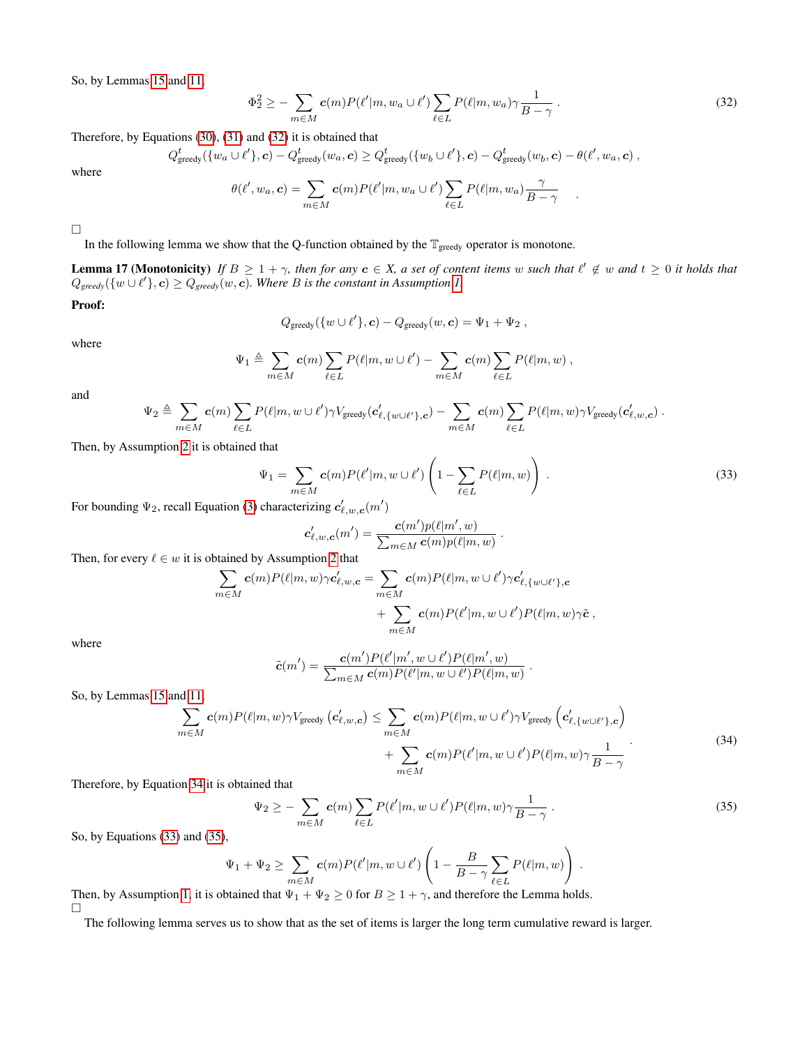So, by Lemmas [15](#page-10-1) and [11,](#page-9-3)

<span id="page-12-2"></span>
$$
\Phi_2^2 \ge -\sum_{m \in M} c(m) P(\ell'|m, w_a \cup \ell') \sum_{\ell \in L} P(\ell|m, w_a) \gamma \frac{1}{B - \gamma} \,. \tag{32}
$$

Therefore, by Equations [\(30\)](#page-11-1), [\(31\)](#page-11-2) and [\(32\)](#page-12-2) it is obtained that

 $Q^t_{\mathfrak{g}}$ 

$$
_{\text{greedy}}^t(\{w_a \cup \ell'\}, \bm{c}) - Q_{\text{greedy}}^t(w_a, \bm{c}) \geq Q_{\text{greedy}}^t(\{w_b \cup \ell'\}, \bm{c}) - Q_{\text{greedy}}^t(w_b, \bm{c}) - \theta(\ell', w_a, \bm{c}) ,
$$

where

$$
\theta(\ell', w_a, \mathbf{c}) = \sum_{m \in M} \mathbf{c}(m) P(\ell'|m, w_a \cup \ell') \sum_{\ell \in L} P(\ell|m, w_a) \frac{\gamma}{B - \gamma} .
$$

 $\Box$ 

In the following lemma we show that the Q-function obtained by the  $\mathbb{T}_{\text{greedy}}$  operator is monotone.

<span id="page-12-0"></span>**Lemma 17 (Monotonicity)** If  $B \geq 1 + \gamma$ , then for any  $c \in X$ , a set of content items w such that  $\ell' \notin w$  and  $t \geq 0$  it holds that  $Q_{\text{greedy}}(\{w \cup \ell'\}, \mathbf{c}) \geq Q_{\text{greedy}}(w, \mathbf{c})$ . Where B is the constant in Assumption [1.](#page-3-4)

Proof:

$$
Q_{\text{greedy}}(\{w \cup \ell'\}, \mathbf{c}) - Q_{\text{greedy}}(w, \mathbf{c}) = \Psi_1 + \Psi_2,
$$

where

$$
\Psi_1 \triangleq \sum_{m \in M} c(m) \sum_{\ell \in L} P(\ell | m, w \cup \ell') - \sum_{m \in M} c(m) \sum_{\ell \in L} P(\ell | m, w) ,
$$

and

$$
\Psi_2 \triangleq \sum_{m \in M} c(m) \sum_{\ell \in L} P(\ell|m, w \cup \ell') \gamma V_{\text{greedy}}(c'_{\ell, \{w \cup \ell'\}, c}) - \sum_{m \in M} c(m) \sum_{\ell \in L} P(\ell|m, w) \gamma V_{\text{greedy}}(c'_{\ell, w, c}) .
$$

Then, by Assumption [2](#page-3-5) it is obtained that

<span id="page-12-4"></span>
$$
\Psi_1 = \sum_{m \in M} \mathbf{c}(m) P(\ell'|m, w \cup \ell') \left(1 - \sum_{\ell \in L} P(\ell|m, w)\right) . \tag{33}
$$

.

For bounding  $\Psi_2$ , recall Equation [\(3\)](#page-2-4) characterizing  $c'_{\ell,w,c}(m')$ 

$$
\mathbf{c}'_{\ell,w,\mathbf{c}}(m') = \frac{\mathbf{c}(m')p(\ell|m',w)}{\sum_{m \in M} \mathbf{c}(m)p(\ell|m,w)}
$$

Then, for every  $\ell \in w$  it is obtained by Assumption [2](#page-3-5) that

$$
\sum_{m \in M} \mathbf{c}(m) P(\ell | m, w) \gamma \mathbf{c}'_{\ell, w, \mathbf{c}} = \sum_{m \in M} \mathbf{c}(m) P(\ell | m, w \cup \ell') \gamma \mathbf{c}'_{\ell, \{w \cup \ell'\}, \mathbf{c}} + \sum_{m \in M} \mathbf{c}(m) P(\ell' | m, w \cup \ell') P(\ell | m, w) \gamma \tilde{\mathbf{c}},
$$

where

$$
\tilde{\mathbf{c}}(m') = \frac{\mathbf{c}(m')P(\ell'|m',w\cup\ell')P(\ell|m',w)}{\sum_{m\in M}\mathbf{c}(m)P(\ell'|m,w\cup\ell')P(\ell|m,w)}.
$$

So, by Lemmas [15](#page-10-1) and [11,](#page-9-3)

<span id="page-12-3"></span>
$$
\sum_{m \in M} c(m) P(\ell|m, w) \gamma V_{\text{greedy}} \left( c'_{\ell, w, c} \right) \leq \sum_{m \in M} c(m) P(\ell|m, w \cup \ell') \gamma V_{\text{greedy}} \left( c'_{\ell, \{w \cup \ell'\}, c} \right) + \sum_{m \in M} c(m) P(\ell'|m, w \cup \ell') P(\ell|m, w) \gamma \frac{1}{B - \gamma} \tag{34}
$$

 $\overline{\phantom{a}}$ 

Therefore, by Equation [34](#page-12-3) it is obtained that

<span id="page-12-5"></span>
$$
\Psi_2 \ge -\sum_{m \in M} c(m) \sum_{\ell \in L} P(\ell'|m, w \cup \ell') P(\ell|m, w) \gamma \frac{1}{B - \gamma} \,. \tag{35}
$$

So, by Equations [\(33\)](#page-12-4) and [\(35\)](#page-12-5),

$$
\Psi_1 + \Psi_2 \geq \sum_{m \in M} c(m) P(\ell'|m, w \cup \ell') \left(1 - \frac{B}{B - \gamma} \sum_{\ell \in L} P(\ell|m, w)\right).
$$

Then, by Assumption [1,](#page-3-4) it is obtained that  $\Psi_1 + \Psi_2 \ge 0$  for  $B \ge 1 + \gamma$ , and therefore the Lemma holds.  $\Box$ 

<span id="page-12-1"></span>The following lemma serves us to show that as the set of items is larger the long term cumulative reward is larger.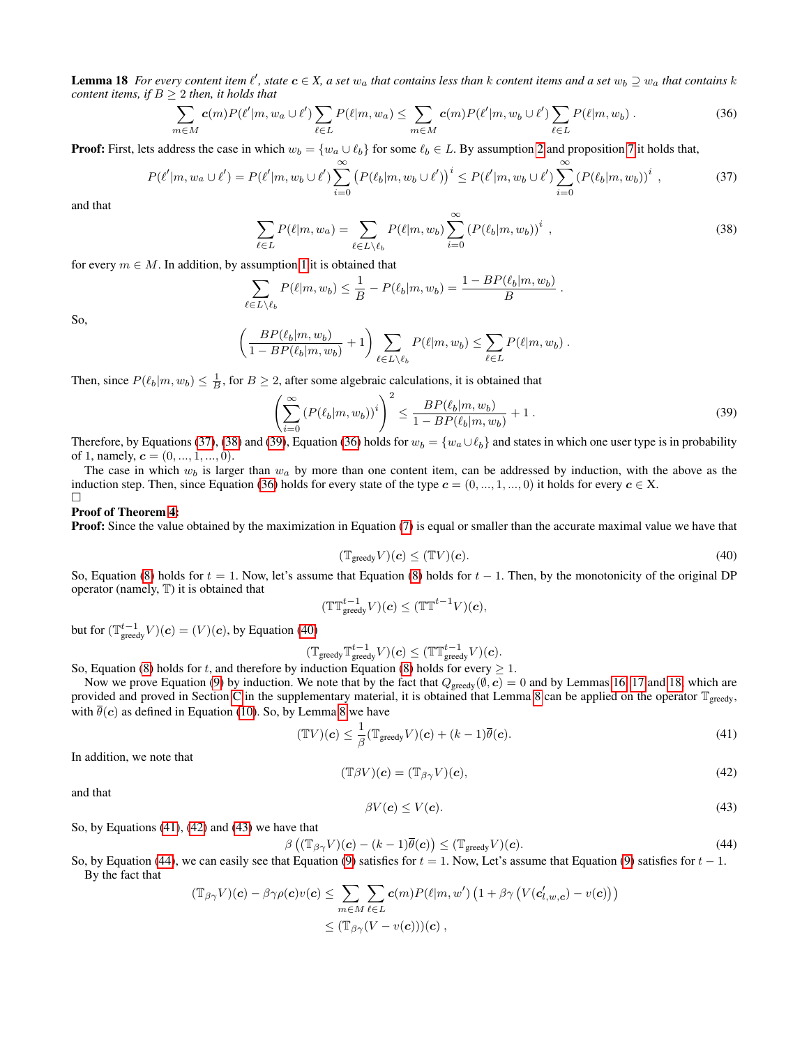**Lemma 18** For every content item  $\ell'$ , state  $c \in X$ , a set  $w_a$  that contains less than  $k$  content items and a set  $w_b \supseteq w_a$  that contains  $k$ *content items, if*  $B \geq 2$  *then, it holds that* 

<span id="page-13-3"></span>
$$
\sum_{m\in M} \mathbf{c}(m) P(\ell'|m, w_a \cup \ell') \sum_{\ell \in L} P(\ell|m, w_a) \leq \sum_{m\in M} \mathbf{c}(m) P(\ell'|m, w_b \cup \ell') \sum_{\ell \in L} P(\ell|m, w_b).
$$
\n(36)

**Proof:** First, lets address the case in which  $w_b = \{w_a \cup \ell_b\}$  for some  $\ell_b \in L$ . By assumption [2](#page-3-5) and proposition [7](#page-7-6) it holds that,

$$
P(\ell'|m, w_a \cup \ell') = P(\ell'|m, w_b \cup \ell') \sum_{i=0}^{\infty} (P(\ell_b|m, w_b \cup \ell'))^i \leq P(\ell'|m, w_b \cup \ell') \sum_{i=0}^{\infty} (P(\ell_b|m, w_b))^i , \qquad (37)
$$

<span id="page-13-1"></span>and that

<span id="page-13-0"></span>
$$
\sum_{\ell \in L} P(\ell|m, w_a) = \sum_{\ell \in L \setminus \ell_b} P(\ell|m, w_b) \sum_{i=0}^{\infty} (P(\ell_b|m, w_b))^i ,
$$
\n(38)

for every  $m \in M$ . In addition, by assumption [1](#page-3-4) it is obtained that

$$
\sum_{\ell \in L \setminus \ell_b} P(\ell | m, w_b) \leq \frac{1}{B} - P(\ell_b | m, w_b) = \frac{1 - BP(\ell_b | m, w_b)}{B}.
$$

So,

$$
\left(\frac{BP(\ell_b|m,w_b)}{1-BP(\ell_b|m,w_b)}+1\right)\sum_{\ell\in L\setminus\ell_b}P(\ell|m,w_b)\leq \sum_{\ell\in L}P(\ell|m,w_b).
$$

Then, since  $P(\ell_b|m, w_b) \leq \frac{1}{B}$ , for  $B \geq 2$ , after some algebraic calculations, it is obtained that

$$
\left(\sum_{i=0}^{\infty} \left( P(\ell_b|m, w_b) \right)^i \right)^2 \le \frac{BP(\ell_b|m, w_b)}{1 - BP(\ell_b|m, w_b)} + 1. \tag{39}
$$

Therefore, by Equations [\(37\)](#page-13-0), [\(38\)](#page-13-1) and [\(39\)](#page-13-2), Equation [\(36\)](#page-13-3) holds for  $w_b = \{w_a \cup \ell_b\}$  and states in which one user type is in probability of 1, namely,  $c = (0, ..., 1, ..., 0)$ .

The case in which  $w_b$  is larger than  $w_a$  by more than one content item, can be addressed by induction, with the above as the induction step. Then, since Equation [\(36\)](#page-13-3) holds for every state of the type  $c = (0, ..., 1, ..., 0)$  it holds for every  $c \in X$ .  $\Box$ 

#### Proof of Theorem [4:](#page-4-1)

<span id="page-13-4"></span>**Proof:** Since the value obtained by the maximization in Equation [\(7\)](#page-4-5) is equal or smaller than the accurate maximal value we have that

<span id="page-13-2"></span>
$$
(\mathbb{T}_{\text{greedy}} V)(c) \le (\mathbb{T}V)(c). \tag{40}
$$

So, Equation [\(8\)](#page-4-6) holds for  $t = 1$ . Now, let's assume that Equation (8) holds for  $t - 1$ . Then, by the monotonicity of the original DP operator (namely, T) it is obtained that

$$
(\mathbb{T}\mathbb{T}^{t-1}_{\text{greedy}}V)(\boldsymbol{c}) \leq (\mathbb{T}\mathbb{T}^{t-1}V)(\boldsymbol{c}),
$$

but for  $(\mathbb{T}^{t-1}_{\text{greedy}}V)(c) = (V)(c)$ , by Equation [\(40\)](#page-13-4)

$$
(\mathbb{T}_{\text{greedy}} \mathbb{T}_{\text{greedy}}^{t-1} V)(c) \leq (\mathbb{T} \mathbb{T}_{\text{greedy}}^{t-1} V)(c).
$$

So, Equation [\(8\)](#page-4-6) holds for t, and therefore by induction Equation (8) holds for every  $\geq 1$ .

Now we prove Equation [\(9\)](#page-4-7) by induction. We note that by the fact that  $Q_{\text{greedy}}(\emptyset, \mathbf{c}) = 0$  and by Lemmas [16,](#page-11-0) [17](#page-12-0) and [18,](#page-12-1) which are provided and proved in Section [C](#page-9-0) in the supplementary material, it is obtained that Lemma [8](#page-8-0) can be applied on the operator  $\mathbb{T}_{greedy}$ , with  $\overline{\theta}(c)$  as defined in Equation [\(10\)](#page-4-8). So, by Lemma [8](#page-8-0) we have

<span id="page-13-6"></span>
$$
(\mathbb{T}V)(\mathbf{c}) \le \frac{1}{\beta} (\mathbb{T}_{\text{greedy}} V)(\mathbf{c}) + (k-1)\overline{\theta}(\mathbf{c}).
$$
\n(41)

In addition, we note that

<span id="page-13-5"></span>
$$
(\mathbb{T}\beta V)(\mathbf{c}) = (\mathbb{T}_{\beta\gamma}V)(\mathbf{c}),\tag{42}
$$

<span id="page-13-7"></span>and that

$$
\beta V(\mathbf{c}) \le V(\mathbf{c}).\tag{43}
$$

So, by Equations [\(41\)](#page-13-5), [\(42\)](#page-13-6) and [\(43\)](#page-13-7) we have that

<span id="page-13-8"></span>
$$
\beta\left((\mathbb{T}_{\beta\gamma}V)(\mathbf{c}) - (k-1)\overline{\theta}(\mathbf{c})\right) \leq (\mathbb{T}_{\text{greedy}}V)(\mathbf{c}).\tag{44}
$$

So, by Equation [\(44\)](#page-13-8), we can easily see that Equation [\(9\)](#page-4-7) satisfies for  $t = 1$ . Now, Let's assume that Equation (9) satisfies for  $t - 1$ . By the fact that

$$
\begin{aligned} (\mathbb{T}_{\beta\gamma}V)(\mathbf{c}) - \beta\gamma\rho(\mathbf{c})v(\mathbf{c}) &\leq \sum_{m\in M} \sum_{\ell\in L} \mathbf{c}(m) P(\ell|m, w') \left(1 + \beta\gamma \left(V(\mathbf{c}'_{l,w,\mathbf{c}}) - v(\mathbf{c})\right)\right) \\ &\leq (\mathbb{T}_{\beta\gamma}(V - v(\mathbf{c})))(\mathbf{c}) \;, \end{aligned}
$$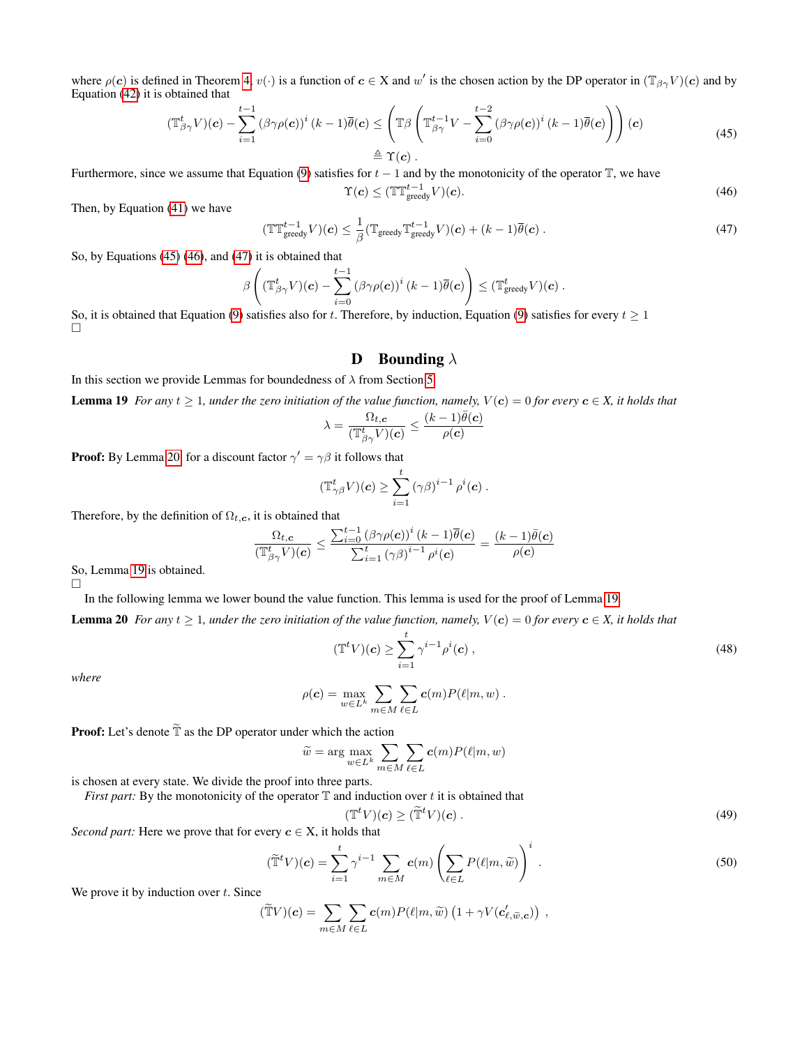where  $\rho(c)$  is defined in Theorem [4,](#page-4-1)  $v(\cdot)$  is a function of  $c \in X$  and w' is the chosen action by the DP operator in  $(\mathbb{T}_{\beta\gamma}V)(c)$  and by Equation [\(42\)](#page-13-6) it is obtained that

<span id="page-14-1"></span>
$$
(\mathbb{T}_{\beta\gamma}^{t}V)(\mathbf{c}) - \sum_{i=1}^{t-1} (\beta\gamma\rho(\mathbf{c}))^{i} (k-1)\overline{\theta}(\mathbf{c}) \leq \left(\mathbb{T}\beta\left(\mathbb{T}_{\beta\gamma}^{t-1}V - \sum_{i=0}^{t-2} (\beta\gamma\rho(\mathbf{c}))^{i} (k-1)\overline{\theta}(\mathbf{c})\right)\right)(\mathbf{c})
$$
\n
$$
\triangleq \Upsilon(\mathbf{c}).
$$
\n(45)

Furthermore, since we assume that Equation [\(9\)](#page-4-7) satisfies for  $t - 1$  and by the monotonicity of the operator T, we have

<span id="page-14-2"></span>
$$
\Upsilon(c) \le (\mathbb{T} \mathbb{T}^{t-1}_{\text{greedy}} V)(c). \tag{46}
$$

Then, by Equation [\(41\)](#page-13-5) we have

<span id="page-14-3"></span>
$$
(\mathbb{T} \mathbb{T}^{t-1}_{\text{greedy}} V)(\boldsymbol{c}) \leq \frac{1}{\beta} (\mathbb{T}_{\text{greedy}} \mathbb{T}^{t-1}_{\text{greedy}} V)(\boldsymbol{c}) + (k-1) \overline{\theta}(\boldsymbol{c}) . \tag{47}
$$

So, by Equations [\(45\)](#page-14-1) [\(46\)](#page-14-2), and [\(47\)](#page-14-3) it is obtained that

$$
\beta\left((\mathbb{T}^t_{\beta\gamma}V)(\boldsymbol{c})-\sum_{i=0}^{t-1}{(\beta\gamma\rho(\boldsymbol{c}))^i}\left(k-1\right)\overline{\theta}(\boldsymbol{c})\right)\leq (\mathbb{T}^t_{\text{greedy}}V)(\boldsymbol{c})\;.
$$

So, it is obtained that Equation [\(9\)](#page-4-7) satisfies also for t. Therefore, by induction, Equation (9) satisfies for every  $t \ge 1$  $\Box$ 

### <span id="page-14-0"></span>**D** Bounding  $\lambda$

In this section we provide Lemmas for boundedness of  $\lambda$  from Section [5.](#page-3-6)

**Lemma 19** *For any*  $t \geq 1$ *, under the zero initiation of the value function, namely,*  $V(c) = 0$  *for every*  $c \in X$ *, it holds that* 

$$
\lambda = \frac{\Omega_{t,\boldsymbol{c}}}{(\mathbb{T}^t_{\beta\gamma}V)(\boldsymbol{c})} \leq \frac{(k-1)\bar{\theta}(\boldsymbol{c})}{\rho(\boldsymbol{c})}
$$

**Proof:** By Lemma [20,](#page-14-4) for a discount factor  $\gamma' = \gamma \beta$  it follows that

$$
(\mathbb{T}^t_{\gamma\beta}V)(\mathbf{c}) \geq \sum_{i=1}^t \left(\gamma\beta\right)^{i-1} \rho^i(\mathbf{c}) .
$$

Therefore, by the definition of  $\Omega_{t,c}$ , it is obtained that

$$
\frac{\Omega_{t,c}}{(\mathbb{T}^t_{\beta\gamma}V)(\mathbf{c})} \leq \frac{\sum_{i=0}^{t-1} (\beta\gamma\rho(\mathbf{c}))^i (k-1)\overline{\theta}(\mathbf{c})}{\sum_{i=1}^{t} (\gamma\beta)^{i-1} \rho^i(\mathbf{c})} = \frac{(k-1)\overline{\theta}(\mathbf{c})}{\rho(\mathbf{c})}
$$

So, Lemma [19](#page-14-0) is obtained.

In the following lemma we lower bound the value function. This lemma is used for the proof of Lemma [19.](#page-14-0)

**Lemma 20** *For any*  $t \geq 1$ *, under the zero initiation of the value function, namely,*  $V(c) = 0$  *for every*  $c \in X$ *, it holds that* 

<span id="page-14-4"></span>
$$
(\mathbb{T}^t V)(\mathbf{c}) \ge \sum_{i=1}^t \gamma^{i-1} \rho^i(\mathbf{c}), \qquad (48)
$$

*where*

 $\Box$ 

$$
\rho(\boldsymbol{c}) = \max_{w \in L^k} \sum_{m \in M} \sum_{\ell \in L} \boldsymbol{c}(m) P(\ell|m, w) .
$$

**Proof:** Let's denote  $\tilde{\mathbb{T}}$  as the DP operator under which the action

$$
\widetilde{w} = \arg \max_{w \in L^k} \sum_{m \in M} \sum_{\ell \in L} c(m) P(\ell | m, w)
$$

is chosen at every state. We divide the proof into three parts.

*First part:* By the monotonicity of the operator  $T$  and induction over  $t$  it is obtained that

<span id="page-14-6"></span><span id="page-14-5"></span>
$$
(\mathbb{T}^t V)(\mathbf{c}) \ge (\widetilde{\mathbb{T}}^t V)(\mathbf{c}) \,. \tag{49}
$$

*Second part:* Here we prove that for every  $c \in X$ , it holds that

$$
(\widetilde{\mathbb{T}}^t V)(c) = \sum_{i=1}^t \gamma^{i-1} \sum_{m \in M} c(m) \left( \sum_{\ell \in L} P(\ell|m, \widetilde{w}) \right)^i.
$$
 (50)

We prove it by induction over  $t$ . Since

$$
(\widetilde{\mathbb{T}}V)(\mathbf{c}) = \sum_{m \in M} \sum_{\ell \in L} \mathbf{c}(m) P(\ell|m, \widetilde{w}) \left(1 + \gamma V(\mathbf{c}'_{\ell, \widetilde{w}, \mathbf{c}})\right) ,
$$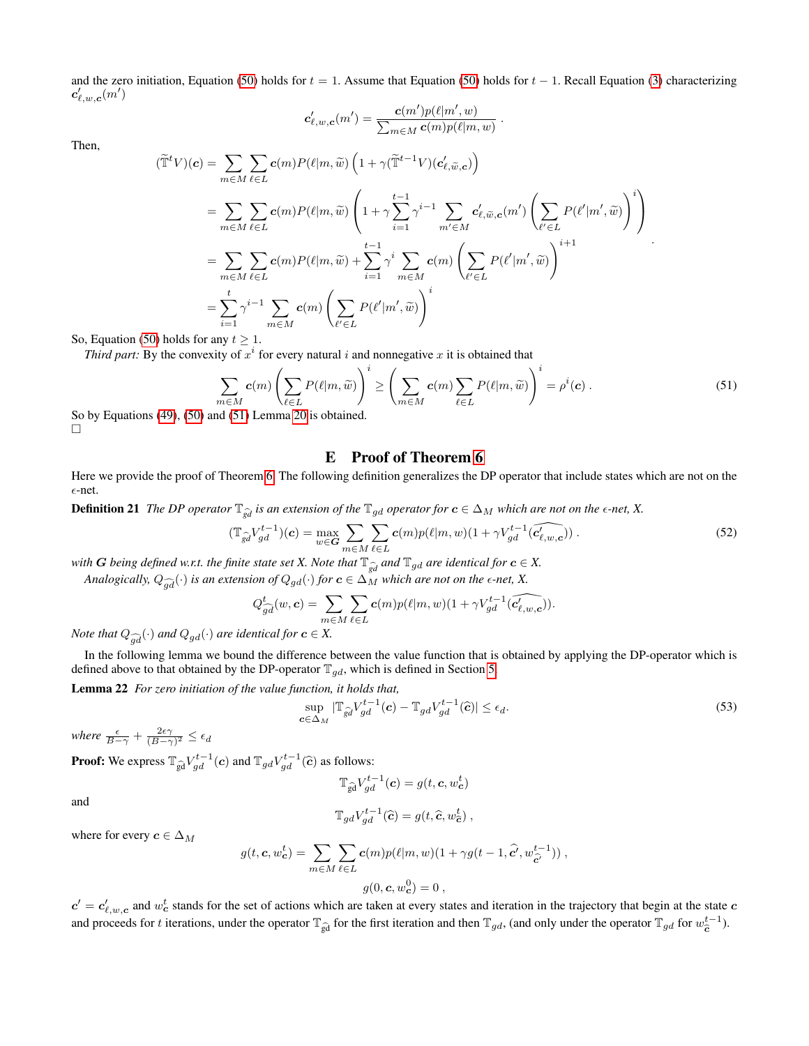and the zero initiation, Equation [\(50\)](#page-14-5) holds for  $t = 1$ . Assume that Equation (50) holds for  $t - 1$ . Recall Equation [\(3\)](#page-2-4) characterizing  $\bm{c}'_{\ell,w,\bm{c}}(m')$ 

$$
\mathbf{c}'_{\ell,w,\mathbf{c}}(m') = \frac{\mathbf{c}(m')p(\ell|m',w)}{\sum_{m \in M} \mathbf{c}(m)p(\ell|m,w)}
$$

Then,

$$
(\widetilde{\mathbb{T}}^{t}V)(c) = \sum_{m \in M} \sum_{\ell \in L} c(m)P(\ell|m, \widetilde{w}) \left(1 + \gamma(\widetilde{\mathbb{T}}^{t-1}V)(c'_{\ell, \widetilde{w}, c})\right)
$$
  
\n
$$
= \sum_{m \in M} \sum_{\ell \in L} c(m)P(\ell|m, \widetilde{w}) \left(1 + \gamma \sum_{i=1}^{t-1} \gamma^{i-1} \sum_{m' \in M} c'_{\ell, \widetilde{w}, c}(m') \left(\sum_{\ell' \in L} P(\ell'|m', \widetilde{w})\right)^{i}\right)
$$
  
\n
$$
= \sum_{m \in M} \sum_{\ell \in L} c(m)P(\ell|m, \widetilde{w}) + \sum_{i=1}^{t-1} \gamma^{i} \sum_{m \in M} c(m) \left(\sum_{\ell' \in L} P(\ell'|m', \widetilde{w})\right)^{i+1}
$$
  
\n
$$
= \sum_{i=1}^{t} \gamma^{i-1} \sum_{m \in M} c(m) \left(\sum_{\ell' \in L} P(\ell'|m', \widetilde{w})\right)^{i}
$$

So, Equation [\(50\)](#page-14-5) holds for any  $t \geq 1$ .

*Third part:* By the convexity of  $x^i$  for every natural i and nonnegative x it is obtained that

$$
\sum_{m \in M} c(m) \left( \sum_{\ell \in L} P(\ell | m, \widetilde{w}) \right)^i \ge \left( \sum_{m \in M} c(m) \sum_{\ell \in L} P(\ell | m, \widetilde{w}) \right)^i = \rho^i(c).
$$
\n(51)

<span id="page-15-1"></span>.

So by Equations [\(49\)](#page-14-6), [\(50\)](#page-14-5) and [\(51\)](#page-15-1) Lemma [20](#page-14-4) is obtained. П

## <span id="page-15-3"></span>E Proof of Theorem [6](#page-4-3)

<span id="page-15-0"></span>Here we provide the proof of Theorem [6.](#page-4-3) The following definition generalizes the DP operator that include states which are not on the  $\epsilon$ -net.

**Definition 21** *The DP operator*  $\mathbb{T}_{\hat{g}d}$  *is an extension of the*  $\mathbb{T}_{gd}$  *operator for*  $c \in \Delta_M$  *which are not on the*  $\epsilon$ -*net, X.* 

$$
(\mathbb{T}_{\widehat{gd}} V_{gd}^{t-1})(\mathbf{c}) = \max_{w \in \mathbf{G}} \sum_{m \in M} \sum_{\ell \in L} \mathbf{c}(m) p(\ell|m, w)(1 + \gamma V_{gd}^{t-1}(\widehat{c'_{\ell,w,\mathbf{c}}}))\,. \tag{52}
$$

*with G being defined w.r.t. the finite state set X. Note that*  $\mathbb{T}_{\hat{g}d}$  *and*  $\mathbb{T}_{gd}$  *are identical for*  $c \in X$ .

*Analogically,*  $Q_{\widehat{ad}}(\cdot)$  *is an extension of*  $Q_{gd}(\cdot)$  *for*  $c \in \Delta_M$  *which are not on the*  $\epsilon$ *-net,* X.

$$
Q_{\widehat{gd}}^t(w, \mathbf{c}) = \sum_{m \in M} \sum_{\ell \in L} \mathbf{c}(m) p(\ell|m, w)(1 + \gamma V_{gd}^{t-1}(\widehat{c_{\ell,w,\mathbf{c}}'})).
$$

*Note that*  $Q_{\widehat{ad}}(\cdot)$  *and*  $Q_{gd}(\cdot)$  *are identical for*  $c \in X$ .

In the following lemma we bound the difference between the value function that is obtained by applying the DP-operator which is defined above to that obtained by the DP-operator  $\mathbb{T}_{qd}$ , which is defined in Section [5.](#page-4-0)

<span id="page-15-4"></span>Lemma 22 *For zero initiation of the value function, it holds that,*

<span id="page-15-2"></span>
$$
\sup_{\mathbf{c}\in\Delta_M} |\mathbb{T}_{\widehat{gd}} V_{gd}^{t-1}(\mathbf{c}) - \mathbb{T}_{gd} V_{gd}^{t-1}(\widehat{\mathbf{c}})| \le \epsilon_d.
$$
\n(53)

*where*  $\frac{\epsilon}{B-\gamma} + \frac{2\epsilon\gamma}{(B-\gamma)^2} \leq \epsilon_d$ 

**Proof:** We express  $\mathbb{T}_{\widehat{gd}} V_{gd}^{t-1}(c)$  and  $\mathbb{T}_{gd} V_{gd}^{t-1}(\widehat{c})$  as follows:

$$
\mathbb{T}_{\widehat{\mathrm{gd}}} V_{gd}^{t-1}(\boldsymbol{c}) = g(t, \boldsymbol{c}, w_{\boldsymbol{c}}^t)
$$

and

$$
\mathbb{T}_{gd}V_{gd}^{t-1}(\widehat{\mathbf{c}})=g(t,\widehat{\mathbf{c}},w_{\widehat{\mathbf{c}}}^t)\;,
$$

where for every  $c \in \Delta_M$ 

$$
g(t, \mathbf{c}, w_{\mathbf{c}}^t) = \sum_{m \in M} \sum_{\ell \in L} \mathbf{c}(m) p(\ell|m, w)(1 + \gamma g(t - 1, \hat{\mathbf{c}'}, w_{\hat{\mathbf{c}'}}^{t-1})),
$$
  

$$
g(0, \mathbf{c}, w_{\mathbf{c}}^0) = 0,
$$

 $c' = c'_{\ell,w,c}$  and  $w_c^t$  stands for the set of actions which are taken at every states and iteration in the trajectory that begin at the state  $c$ and proceeds for t iterations, under the operator  $\mathbb{T}_{\hat{g}d}$  for the first iteration and then  $\mathbb{T}_{gd}$ , (and only under the operator  $\mathbb{T}_{gd}$  for  $w_{\hat{c}}^{t-1}$ ).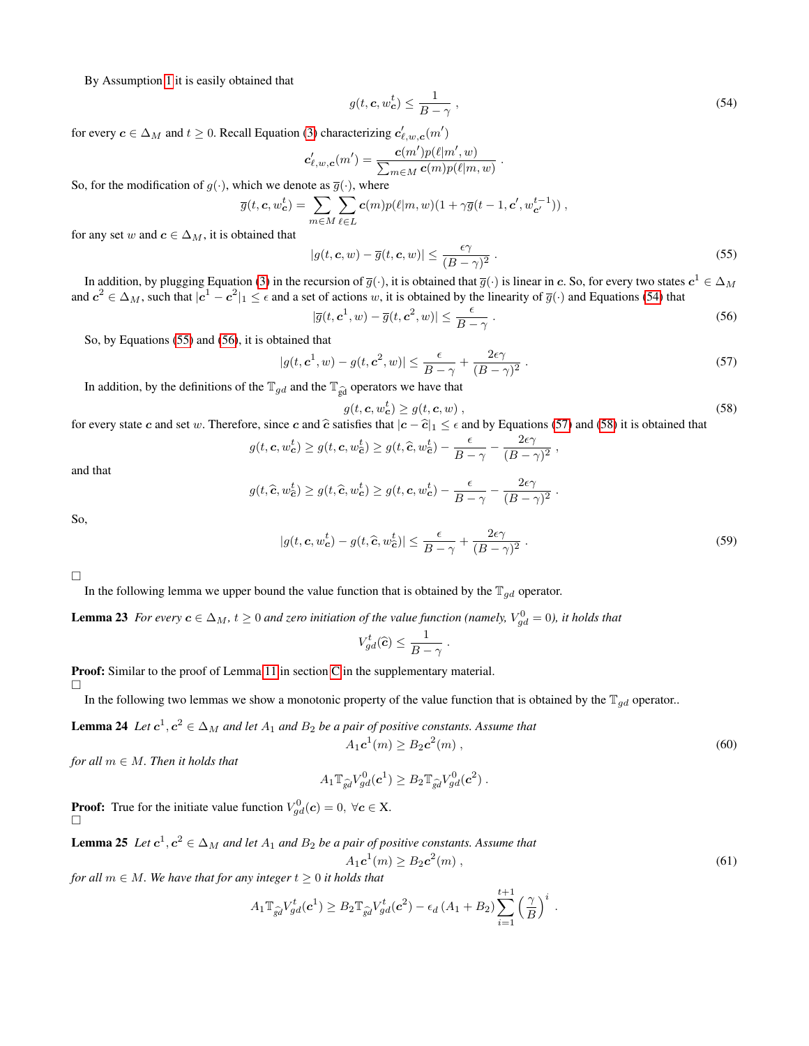By Assumption [1](#page-3-4) it is easily obtained that

<span id="page-16-0"></span>
$$
g(t, \mathbf{c}, w_{\mathbf{c}}^t) \le \frac{1}{B - \gamma} \,,\tag{54}
$$

for every  $c \in \Delta_M$  and  $t \ge 0$ . Recall Equation [\(3\)](#page-2-4) characterizing  $c'_{\ell,w,c}(m')$ 

$$
\mathbf{c}'_{\ell,w,\mathbf{c}}(m') = \frac{\mathbf{c}(m')p(\ell|m',w)}{\sum_{m\in M}\mathbf{c}(m)p(\ell|m,w)}
$$

So, for the modification of  $g(\cdot)$ , which we denote as  $\overline{g}(\cdot)$ , where

$$
\overline{g}(t, \mathbf{c}, w_{\mathbf{c}}^t) = \sum_{m \in M} \sum_{\ell \in L} \mathbf{c}(m) p(\ell|m, w) (1 + \gamma \overline{g}(t-1, \mathbf{c}', w_{\mathbf{c}'}^{t-1})),
$$

for any set w and  $c \in \Delta_M$ , it is obtained that

<span id="page-16-1"></span>
$$
|g(t, \mathbf{c}, w) - \overline{g}(t, \mathbf{c}, w)| \le \frac{\epsilon \gamma}{(B - \gamma)^2} \,. \tag{55}
$$

.

In addition, by plugging Equation [\(3\)](#page-2-4) in the recursion of  $\overline{g}(\cdot)$ , it is obtained that  $\overline{g}(\cdot)$  is linear in  $\bm{c}.$  So, for every two states  $\bm{c}^1\in \Delta_M$ and  $c^2 \in \Delta_M$ , such that  $|c^1 - c^2|_1 \le \epsilon$  and a set of actions w, it is obtained by the linearity of  $\overline{g}(\cdot)$  and Equations [\(54\)](#page-16-0) that

<span id="page-16-3"></span>
$$
|\overline{g}(t, \mathbf{c}^1, w) - \overline{g}(t, \mathbf{c}^2, w)| \le \frac{\epsilon}{B - \gamma} \,. \tag{56}
$$

So, by Equations [\(55\)](#page-16-1) and [\(56\)](#page-16-2), it is obtained that

$$
|g(t, \mathbf{c}^1, w) - g(t, \mathbf{c}^2, w)| \le \frac{\epsilon}{B - \gamma} + \frac{2\epsilon\gamma}{(B - \gamma)^2}.
$$
 (57)

In addition, by the definitions of the  $\mathbb{T}_{gd}$  and the  $\mathbb{T}_{\widehat{gd}}$  operators we have that

$$
g(t, \mathbf{c}, w_{\mathbf{c}}^t) \ge g(t, \mathbf{c}, w) , \qquad (58)
$$

<span id="page-16-4"></span><span id="page-16-2"></span>,

for every state c and set w. Therefore, since c and  $\hat{c}$  satisfies that  $|c - \hat{c}|_1 \leq \epsilon$  and by Equations [\(57\)](#page-16-3) and [\(58\)](#page-16-4) it is obtained that

$$
g(t, \mathbf{c}, w_{\mathbf{c}}^t) \ge g(t, \mathbf{c}, w_{\mathbf{\hat{c}}}^t) \ge g(t, \widehat{\mathbf{c}}, w_{\mathbf{\hat{c}}}^t) - \frac{\epsilon}{B - \gamma} - \frac{2\epsilon\gamma}{(B - \gamma)^2}
$$

and that

$$
g(t,\widehat{\mathbf{c}},w_{\widehat{\mathbf{c}}}^t) \geq g(t,\widehat{\mathbf{c}},w_{\mathbf{c}}^t) \geq g(t,\mathbf{c},w_{\mathbf{c}}^t) - \frac{\epsilon}{B-\gamma} - \frac{2\epsilon\gamma}{(B-\gamma)^2}.
$$

So,

$$
|g(t, \mathbf{c}, w_{\mathbf{c}}^t) - g(t, \widehat{\mathbf{c}}, w_{\mathbf{c}}^t)| \le \frac{\epsilon}{B - \gamma} + \frac{2\epsilon\gamma}{(B - \gamma)^2}.
$$
 (59)

 $\Box$ 

In the following lemma we upper bound the value function that is obtained by the  $\mathbb{T}_{qd}$  operator.

<span id="page-16-8"></span>**Lemma 23** For every  $c \in \Delta_M$ ,  $t \geq 0$  and zero initiation of the value function (namely,  $V_{gd}^0 = 0$ ), it holds that

$$
V_{gd}^t(\widehat{c}) \leq \frac{1}{B-\gamma} .
$$

Proof: Similar to the proof of Lemma [11](#page-9-3) in section [C](#page-9-0) in the supplementary material.

П

In the following two lemmas we show a monotonic property of the value function that is obtained by the  $T_{qd}$  operator..

<span id="page-16-5"></span>**Lemma 24** Let  $c^1, c^2 \in \Delta_M$  and let  $A_1$  and  $B_2$  be a pair of positive constants. Assume that

$$
A_1 c^1(m) \ge B_2 c^2(m) , \qquad (60)
$$

*for all*  $m \in M$ *. Then it holds that* 

$$
A_1 \mathbb{T}_{\widehat{gd}} V_{gd}^0(\boldsymbol{c}^1) \geq B_2 \mathbb{T}_{\widehat{gd}} V_{gd}^0(\boldsymbol{c}^2) .
$$

<span id="page-16-7"></span>**Proof:** True for the initiate value function  $V_{gd}^0(c) = 0, \ \forall c \in X$ .  $\Box$ 

**Lemma 25** Let  $c^1, c^2 \in \Delta_M$  and let  $A_1$  and  $B_2$  be a pair of positive constants. Assume that

<span id="page-16-6"></span>
$$
A_1 c^1(m) \ge B_2 c^2(m) , \qquad (61)
$$

*for all*  $m \in M$ *. We have that for any integer*  $t \geq 0$  *it holds that* 

$$
A_1 \mathbb{T}_{\widehat{gd}} V_{gd}^t(\mathbf{c}^1) \geq B_2 \mathbb{T}_{\widehat{gd}} V_{gd}^t(\mathbf{c}^2) - \epsilon_d \left(A_1 + B_2\right) \sum_{i=1}^{t+1} \left(\frac{\gamma}{B}\right)^i.
$$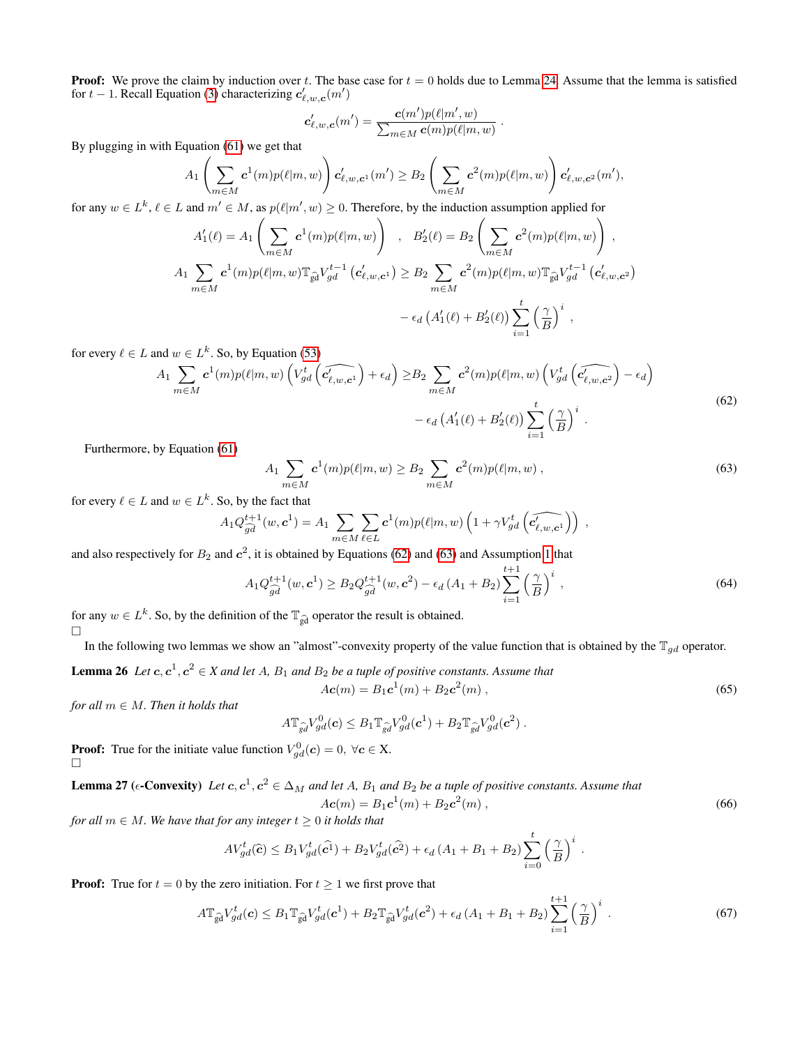**Proof:** We prove the claim by induction over t. The base case for  $t = 0$  holds due to Lemma [24.](#page-16-5) Assume that the lemma is satisfied for  $t - 1$ . Recall Equation [\(3\)](#page-2-4) characterizing  $c'_{\ell,w,\mathbf{c}}(m')$ 

$$
\mathbf{c}'_{\ell,w,\mathbf{c}}(m') = \frac{\mathbf{c}(m')p(\ell|m',w)}{\sum_{m \in M} \mathbf{c}(m)p(\ell|m,w)}
$$

By plugging in with Equation [\(61\)](#page-16-6) we get that

$$
A_1\left(\sum_{m\in M} \mathbf{c}^1(m)p(\ell|m,w)\right) \mathbf{c}'_{\ell,w,\mathbf{c}^1}(m') \ge B_2\left(\sum_{m\in M} \mathbf{c}^2(m)p(\ell|m,w)\right) \mathbf{c}'_{\ell,w,\mathbf{c}^2}(m'),
$$

for any  $w \in L^k$ ,  $\ell \in L$  and  $m' \in M$ , as  $p(\ell | m', w) \ge 0$ . Therefore, by the induction assumption applied for

$$
A'_1(\ell) = A_1 \left( \sum_{m \in M} c^1(m) p(\ell|m, w) \right) , B'_2(\ell) = B_2 \left( \sum_{m \in M} c^2(m) p(\ell|m, w) \right) ,
$$
  

$$
A_1 \sum_{m \in M} c^1(m) p(\ell|m, w) \mathbb{T}_{\widehat{\mathrm{gd}}} V_{gd}^{t-1} (c'_{\ell, w, c^1}) \ge B_2 \sum_{m \in M} c^2(m) p(\ell|m, w) \mathbb{T}_{\widehat{\mathrm{gd}}} V_{gd}^{t-1} (c'_{\ell, w, c^2})
$$
  

$$
- \epsilon_d (A'_1(\ell) + B'_2(\ell)) \sum_{i=1}^t \left( \frac{\gamma}{B} \right)^i ,
$$

for every  $\ell \in L$  and  $w \in L^k$ . So, by Equation [\(53\)](#page-15-2)

$$
A_1 \sum_{m \in M} c^1(m) p(\ell|m, w) \left( V_{gd}^t \left( \widehat{c'_{\ell, w, c^1}} \right) + \epsilon_d \right) \geq B_2 \sum_{m \in M} c^2(m) p(\ell|m, w) \left( V_{gd}^t \left( \widehat{c'_{\ell, w, c^2}} \right) - \epsilon_d \right) - \epsilon_d \left( A'_1(\ell) + B'_2(\ell) \right) \sum_{i=1}^t \left( \frac{\gamma}{B} \right)^i
$$
 (62)

Furthermore, by Equation [\(61\)](#page-16-6)

<span id="page-17-1"></span><span id="page-17-0"></span>
$$
A_1 \sum_{m \in M} c^1(m) p(\ell | m, w) \ge B_2 \sum_{m \in M} c^2(m) p(\ell | m, w) , \qquad (63)
$$

.

for every  $\ell \in L$  and  $w \in L^k$ . So, by the fact that

$$
A_1 Q_{\widehat{gd}}^{t+1}(w, \mathbf{c}^1) = A_1 \sum_{m \in M} \sum_{\ell \in L} \mathbf{c}^1(m) p(\ell|m, w) \left(1 + \gamma V_{gd}^t \left(\widehat{c_{\ell,w,\mathbf{c}^1}^t}\right)\right) ,
$$

and also respectively for  $B_2$  and  $c^2$ , it is obtained by Equations [\(62\)](#page-17-0) and [\(63\)](#page-17-1) and Assumption [1](#page-3-4) that

$$
A_1 Q_{\widehat{gd}}^{t+1}(w, \mathbf{c}^1) \ge B_2 Q_{\widehat{gd}}^{t+1}(w, \mathbf{c}^2) - \epsilon_d (A_1 + B_2) \sum_{i=1}^{t+1} \left(\frac{\gamma}{B}\right)^i , \tag{64}
$$

for any  $w \in L^k$ . So, by the definition of the  $\mathbb{T}_{\widehat{gd}}$  operator the result is obtained.  $\Box$ 

In the following two lemmas we show an "almost"-convexity property of the value function that is obtained by the  $\mathbb{T}_{gd}$  operator.

<span id="page-17-3"></span>**Lemma 26** Let  $c, c^1, c^2 \in X$  and let A,  $B_1$  and  $B_2$  be a tuple of positive constants. Assume that  $A\bm{c}(m) = B_1\bm{c}^1(m) + B_2\bm{c}^2$  $(m)$ , (65)

*for all*  $m \in M$ *. Then it holds that* 

$$
A \mathbb{T}_{\widehat{gd}} V_{gd}^0(\boldsymbol{c}) \leq B_1 \mathbb{T}_{\widehat{gd}} V_{gd}^0(\boldsymbol{c}^1) + B_2 \mathbb{T}_{\widehat{gd}} V_{gd}^0(\boldsymbol{c}^2) .
$$

**Proof:** True for the initiate value function  $V_{gd}^0(c) = 0, \ \forall c \in X$ .  $\Box$ 

<span id="page-17-5"></span>**Lemma 27** (
$$
\epsilon
$$
-Convexity) Let  $c, c^1, c^2 \in \Delta_M$  and let A,  $B_1$  and  $B_2$  be a tuple of positive constants. Assume that  

$$
Ac(m) = B_1c^1(m) + B_2c^2(m),
$$
 (66)

*for all*  $m \in M$ *. We have that for any integer*  $t \geq 0$  *it holds that* 

$$
AV_{gd}^{t}(\widehat{c}) \leq B_1 V_{gd}^{t}(\widehat{c^1}) + B_2 V_{gd}^{t}(\widehat{c^2}) + \epsilon_d (A_1 + B_1 + B_2) \sum_{i=0}^{t} \left(\frac{\gamma}{B}\right)^i
$$

**Proof:** True for  $t = 0$  by the zero initiation. For  $t \ge 1$  we first prove that

$$
A\mathbb{T}_{\widehat{\mathbf{gd}}} V_{gd}^t(\mathbf{c}) \leq B_1 \mathbb{T}_{\widehat{\mathbf{gd}}} V_{gd}^t(\mathbf{c}^1) + B_2 \mathbb{T}_{\widehat{\mathbf{gd}}} V_{gd}^t(\mathbf{c}^2) + \epsilon_d \left(A_1 + B_1 + B_2\right) \sum_{i=1}^{t+1} \left(\frac{\gamma}{B}\right)^i.
$$
\n
$$
(67)
$$

<span id="page-17-4"></span><span id="page-17-2"></span>.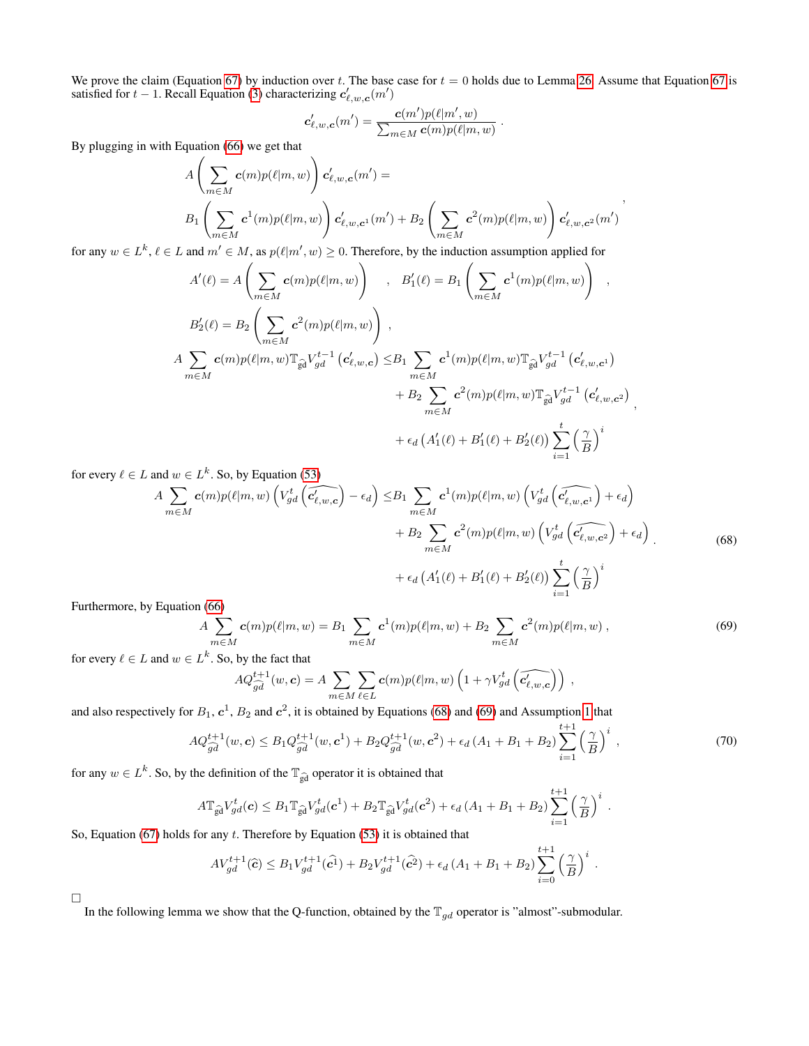We prove the claim (Equation [67\)](#page-17-2) by induction over t. The base case for  $t = 0$  holds due to Lemma [26.](#page-17-3) Assume that Equation [67](#page-17-2) is satisfied for  $t - 1$ . Recall Equation [\(3\)](#page-2-4) characterizing  $c'_{\ell,w,c}(m')$ 

$$
\mathbf{c}'_{\ell,w,\mathbf{c}}(m') = \frac{\mathbf{c}(m')p(\ell|m',w)}{\sum_{m \in M} \mathbf{c}(m)p(\ell|m,w)}
$$

.

By plugging in with Equation [\(66\)](#page-17-4) we get that

$$
A\left(\sum_{m\in M} \mathbf{c}(m)p(\ell|m,w)\right) \mathbf{c}'_{\ell,w,\mathbf{c}}(m') =
$$
  
\n
$$
B_1\left(\sum_{m\in M} \mathbf{c}^1(m)p(\ell|m,w)\right) \mathbf{c}'_{\ell,w,\mathbf{c}^1}(m') + B_2\left(\sum_{m\in M} \mathbf{c}^2(m)p(\ell|m,w)\right) \mathbf{c}'_{\ell,w,\mathbf{c}^2}(m')
$$

for any  $w \in L^k$ ,  $\ell \in L$  and  $m' \in M$ , as  $p(\ell | m', w) \ge 0$ . Therefore, by the induction assumption applied for

$$
A'(\ell) = A\left(\sum_{m \in M} c(m)p(\ell|m, w)\right) , B'_{1}(\ell) = B_{1}\left(\sum_{m \in M} c^{1}(m)p(\ell|m, w)\right) ,
$$
  
\n
$$
B'_{2}(\ell) = B_{2}\left(\sum_{m \in M} c^{2}(m)p(\ell|m, w)\right) ,
$$
  
\n
$$
A \sum_{m \in M} c(m)p(\ell|m, w) \mathbb{T}_{\widehat{\mathfrak{gd}}} V_{gd}^{t-1} (c'_{\ell,w, c}) \leq B_{1} \sum_{m \in M} c^{1}(m)p(\ell|m, w) \mathbb{T}_{\widehat{\mathfrak{gd}}} V_{gd}^{t-1} (c'_{\ell,w, c^{1}})
$$
  
\n
$$
+ B_{2} \sum_{m \in M} c^{2}(m)p(\ell|m, w) \mathbb{T}_{\widehat{\mathfrak{gd}}} V_{gd}^{t-1} (c'_{\ell,w, c^{2}})
$$
  
\n
$$
+ \epsilon_{d} (A'_{1}(\ell) + B'_{1}(\ell) + B'_{2}(\ell)) \sum_{i=1}^{t} \left(\frac{\gamma}{B}\right)^{i}
$$

for every  $\ell \in L$  and  $w \in L^k$ . So, by Equation [\(53\)](#page-15-2)

<span id="page-18-0"></span>
$$
A \sum_{m \in M} c(m)p(\ell|m, w) \left(V_{gd}^t\left(\widehat{c'_{\ell, w, c}}\right) - \epsilon_d\right) \leq B_1 \sum_{m \in M} c^1(m)p(\ell|m, w) \left(V_{gd}^t\left(\widehat{c'_{\ell, w, c^1}}\right) + \epsilon_d\right) + B_2 \sum_{m \in M} c^2(m)p(\ell|m, w) \left(V_{gd}^t\left(\widehat{c'_{\ell, w, c^2}}\right) + \epsilon_d\right) + \epsilon_d \left(A'_1(\ell) + B'_1(\ell) + B'_2(\ell)\right) \sum_{i=1}^t \left(\frac{\gamma}{B}\right)^i
$$
\n(68)

Furthermore, by Equation [\(66\)](#page-17-4)

<span id="page-18-1"></span>
$$
A \sum_{m \in M} c(m)p(\ell|m, w) = B_1 \sum_{m \in M} c^1(m)p(\ell|m, w) + B_2 \sum_{m \in M} c^2(m)p(\ell|m, w) , \qquad (69)
$$

for every  $\ell \in L$  and  $w \in L^k$ . So, by the fact that

$$
AQ_{\widehat{gd}}^{t+1}(w, \mathbf{c}) = A \sum_{m \in M} \sum_{\ell \in L} \mathbf{c}(m) p(\ell | m, w) \left( 1 + \gamma V_{gd}^t \left( \widehat{c'_{\ell, w, \mathbf{c}}} \right) \right) ,
$$

and also respectively for  $B_1$ ,  $c^1$ ,  $B_2$  and  $c^2$ , it is obtained by Equations [\(68\)](#page-18-0) and [\(69\)](#page-18-1) and Assumption [1](#page-3-4) that

$$
AQ_{\widehat{gd}}^{t+1}(w, \mathbf{c}) \leq B_1 Q_{\widehat{gd}}^{t+1}(w, \mathbf{c}^1) + B_2 Q_{\widehat{gd}}^{t+1}(w, \mathbf{c}^2) + \epsilon_d (A_1 + B_1 + B_2) \sum_{i=1}^{t+1} \left(\frac{\gamma}{B}\right)^i ,\tag{70}
$$

for any  $w \in L^k$ . So, by the definition of the  $\mathbb{T}_{\widehat{gd}}$  operator it is obtained that

$$
A\mathbb{T}_{\widehat{\mathrm{gd}}}V_{gd}^{t}(\boldsymbol{c})\leq B_{1}\mathbb{T}_{\widehat{\mathrm{gd}}}V_{gd}^{t}(\boldsymbol{c}^{1})+B_{2}\mathbb{T}_{\widehat{\mathrm{gd}}}V_{gd}^{t}(\boldsymbol{c}^{2})+\epsilon_{d}\left(A_{1}+B_{1}+B_{2}\right)\sum_{i=1}^{t+1}\left(\frac{\gamma}{B}\right)^{i}.
$$

So, Equation [\(67\)](#page-17-2) holds for any  $t$ . Therefore by Equation [\(53\)](#page-15-2) it is obtained that

$$
AV_{gd}^{t+1}(\hat{c}) \leq B_1 V_{gd}^{t+1}(\hat{c}^1) + B_2 V_{gd}^{t+1}(\hat{c}^2) + \epsilon_d (A_1 + B_1 + B_2) \sum_{i=0}^{t+1} \left(\frac{\gamma}{B}\right)^i.
$$

 $\Box$ 

<span id="page-18-2"></span>In the following lemma we show that the Q-function, obtained by the  $\mathbb{T}_{qd}$  operator is "almost"-submodular.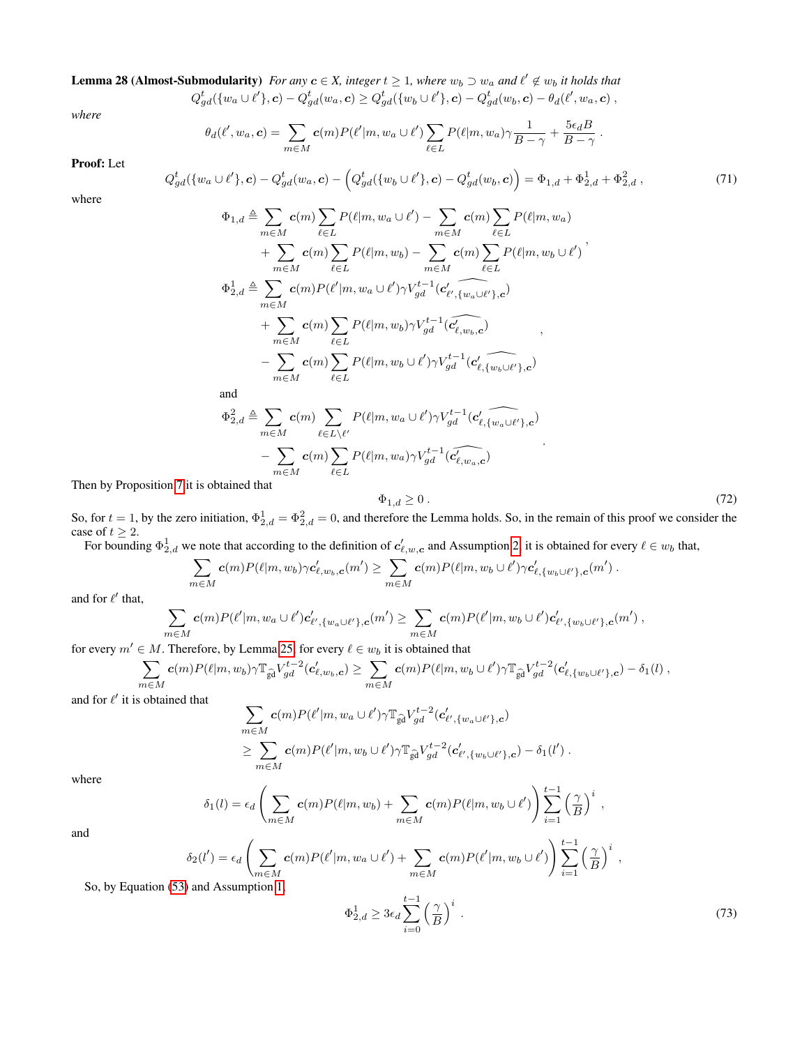**Lemma 28 (Almost-Submodularity)** For any  $c \in X$ , integer  $t \geq 1$ , where  $w_b \supset w_a$  and  $\ell' \notin w_b$  it holds that  $Q_{gd}^t(\{w_a \cup \ell'\}, \bm{c}) - Q_{gd}^t(w_a, \bm{c}) \geq Q_{gd}^t(\{w_b \cup \ell'\}, \bm{c}) - Q_{gd}^t(w_b, \bm{c}) - \theta_d(\ell', w_a, \bm{c}) \ ,$ 

*where*

$$
\theta_d(\ell', w_a, \mathbf{c}) = \sum_{m \in M} \mathbf{c}(m) P(\ell'|m, w_a \cup \ell') \sum_{\ell \in L} P(\ell|m, w_a) \gamma \frac{1}{B - \gamma} + \frac{5\epsilon_d B}{B - \gamma}.
$$

Proof: Let

$$
Q_{gd}^{t}(\{w_a \cup \ell'\}, \mathbf{c}) - Q_{gd}^{t}(w_a, \mathbf{c}) - \left(Q_{gd}^{t}(\{w_b \cup \ell'\}, \mathbf{c}) - Q_{gd}^{t}(w_b, \mathbf{c})\right) = \Phi_{1,d} + \Phi_{2,d}^{1} + \Phi_{2,d}^{2}, \qquad (71)
$$

where

$$
\Phi_{1,d} \triangleq \sum_{m \in M} c(m) \sum_{\ell \in L} P(\ell|m, w_a \cup \ell') - \sum_{m \in M} c(m) \sum_{\ell \in L} P(\ell|m, w_a)
$$
\n
$$
+ \sum_{m \in M} c(m) \sum_{\ell \in L} P(\ell|m, w_b) - \sum_{m \in M} c(m) \sum_{\ell \in L} P(\ell|m, w_b \cup \ell')'
$$
\n
$$
\Phi_{2,d}^{1} \triangleq \sum_{m \in M} c(m) P(\ell'|m, w_a \cup \ell') \gamma V_{gd}^{t-1} (c'_{\ell', \{w_a \cup \ell'\}, c})
$$
\n
$$
+ \sum_{m \in M} c(m) \sum_{\ell \in L} P(\ell|m, w_b) \gamma V_{gd}^{t-1} (c'_{\ell, w_b, c})
$$
\n
$$
- \sum_{m \in M} c(m) \sum_{\ell \in L} P(\ell|m, w_b \cup \ell') \gamma V_{gd}^{t-1} (c'_{\ell, \{w_b \cup \ell'\}, c})
$$
\nand\n
$$
\Phi_{2,d}^{2} \triangleq \sum_{m \in M} c(m) \sum_{\ell \in L \setminus \ell'} P(\ell|m, w_a \cup \ell') \gamma V_{gd}^{t-1} (c'_{\ell, \{w_a \cup \ell'\}, c})
$$
\n
$$
- \sum_{m \in M} c(m) \sum_{\ell \in L} P(\ell|m, w_a) \gamma V_{gd}^{t-1} (c'_{\ell, w_a, c})
$$
\n
$$
\text{btiained that}
$$

Then by Proposition [7](#page-7-6) it is ob

<span id="page-19-0"></span>
$$
\Phi_{1,d} \ge 0 \tag{72}
$$

So, for  $t = 1$ , by the zero initiation,  $\Phi_{2,d}^1 = \Phi_{2,d}^2 = 0$ , and therefore the Lemma holds. So, in the remain of this proof we consider the case of  $t \geq 2$ .

For bounding  $\Phi_{2,d}^1$  we note that according to the definition of  $c'_{\ell,w,c}$  and Assumption [2,](#page-3-5) it is obtained for every  $\ell \in w_b$  that,

$$
\sum_{m\in M} \mathbf{c}(m) P(\ell|m,w_b) \gamma \mathbf{c}'_{\ell,w_b,\mathbf{c}}(m') \geq \sum_{m\in M} \mathbf{c}(m) P(\ell|m,w_b \cup \ell') \gamma \mathbf{c}'_{\ell,\{w_b \cup \ell'\},\mathbf{c}}(m') .
$$

and for  $\ell'$  that,

$$
\sum_{m \in M} c(m) P(\ell'|m, w_a \cup \ell') c'_{\ell', \{w_a \cup \ell'\}, c}(m') \geq \sum_{m \in M} c(m) P(\ell'|m, w_b \cup \ell') c'_{\ell', \{w_b \cup \ell'\}, c}(m') ,
$$

for every  $m' \in M$ . Therefore, by Lemma [25,](#page-16-7) for every  $\ell \in w_b$  it is obtained that

$$
\sum_{m\in M} \mathbf{c}(m) P(\ell|m,w_b) \gamma \mathbb{T}_{\widehat{\mathbf{g}}d} V_{gd}^{t-2}(\mathbf{c}'_{\ell,w_b,c}) \geq \sum_{m\in M} \mathbf{c}(m) P(\ell|m,w_b \cup \ell') \gamma \mathbb{T}_{\widehat{\mathbf{g}}d} V_{gd}^{t-2}(\mathbf{c}'_{\ell,\{w_b \cup \ell'\},c}) - \delta_1(l),
$$

and for  $\ell'$  it is obtained that

$$
\sum_{m \in M} c(m) P(\ell'|m, w_a \cup \ell') \gamma \mathbb{T}_{\widehat{\mathrm{gd}}} V_{gd}^{t-2}(\mathbf{c}'_{\ell', \{w_a \cup \ell'\}, \mathbf{c}}) \geq \sum_{m \in M} c(m) P(\ell'|m, w_b \cup \ell') \gamma \mathbb{T}_{\widehat{\mathrm{gd}}} V_{gd}^{t-2}(\mathbf{c}'_{\ell', \{w_b \cup \ell'\}, \mathbf{c}}) - \delta_1(l').
$$

where

$$
\delta_1(l) = \epsilon_d \left( \sum_{m \in M} c(m) P(\ell | m, w_b) + \sum_{m \in M} c(m) P(\ell | m, w_b \cup \ell') \right) \sum_{i=1}^{t-1} \left( \frac{\gamma}{B} \right)^i ,
$$
  

$$
\delta_2(l') = \epsilon_d \left( \sum_{m \in M} c(m) P(\ell' | m, w_a \cup \ell') + \sum_{m \in M} c(m) P(\ell' | m, w_b \cup \ell') \right) \sum_{i=1}^{t-1} \left( \frac{\gamma}{B} \right)^i ,
$$

and

$$
\delta_2(l') = \epsilon_d \left( \sum_{m \in M} c(m) P(\ell'|m, w_a \cup \ell') + \sum_{m \in M} c(m) P(\ell'|m, w_b \cup \ell') \right) \sum_{i=1} \left( \frac{\gamma}{B} \right)^i,
$$
  
So, by Equation (53) and Assumption 1,

<span id="page-19-1"></span>
$$
\Phi_{2,d}^1 \ge 3\epsilon_d \sum_{i=0}^{t-1} \left(\frac{\gamma}{B}\right)^i \,. \tag{73}
$$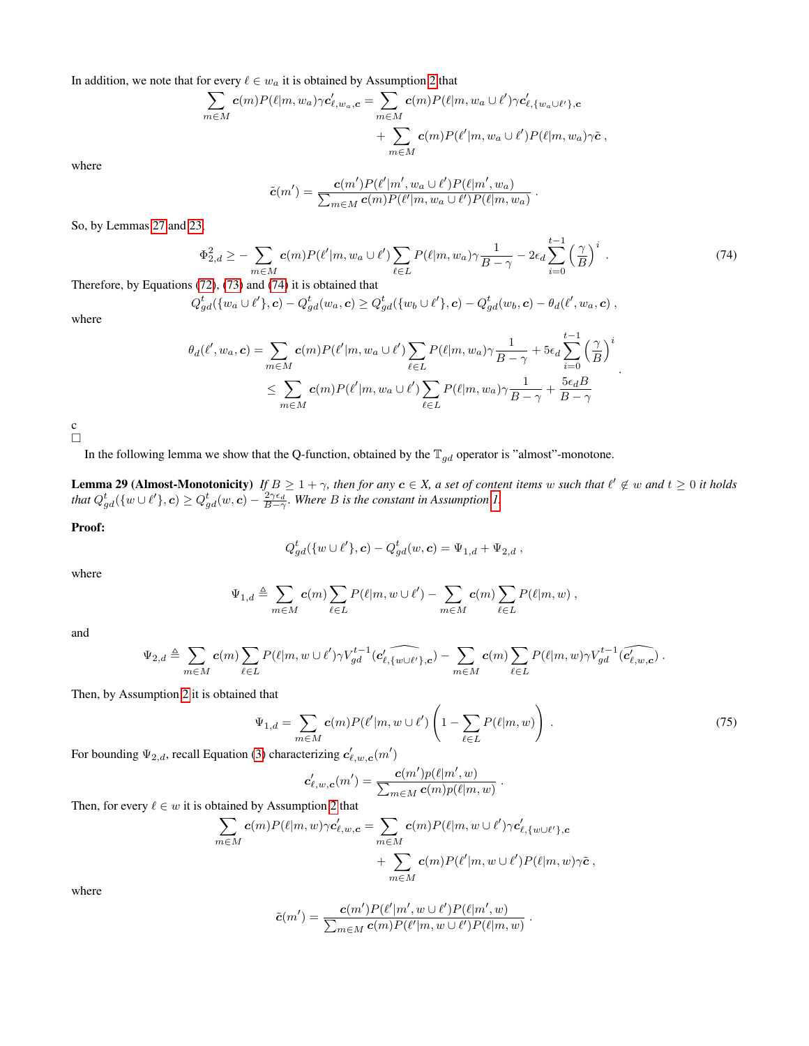In addition, we note that for every  $\ell \in w_a$  it is obtained by Assumption [2](#page-3-5) that

$$
\sum_{m \in M} c(m) P(\ell | m, w_a) \gamma c'_{\ell, w_a, \mathbf{c}} = \sum_{m \in M} c(m) P(\ell | m, w_a \cup \ell') \gamma c'_{\ell, \{w_a \cup \ell'\}, \mathbf{c}} \n+ \sum_{m \in M} c(m) P(\ell' | m, w_a \cup \ell') P(\ell | m, w_a) \gamma \tilde{\mathbf{c}},
$$

where

$$
\tilde{\mathbf{c}}(m') = \frac{\mathbf{c}(m')P(\ell'|m', w_a \cup \ell')P(\ell|m', w_a)}{\sum_{m \in M} \mathbf{c}(m)P(\ell'|m, w_a \cup \ell')P(\ell|m, w_a)}
$$

So, by Lemmas [27](#page-17-5) and [23,](#page-16-8)

<span id="page-20-0"></span>
$$
\Phi_{2,d}^2 \ge -\sum_{m \in M} c(m) P(\ell'|m, w_a \cup \ell') \sum_{\ell \in L} P(\ell|m, w_a) \gamma \frac{1}{B - \gamma} - 2\epsilon_d \sum_{i=0}^{t-1} \left(\frac{\gamma}{B}\right)^i.
$$
\n(74)

.

.

Therefore, by Equations [\(72\)](#page-19-0), [\(73\)](#page-19-1) and [\(74\)](#page-20-0) it is obtained that

$$
Q_{gd}^t(\{w_a \cup \ell'\}, \mathbf{c}) - Q_{gd}^t(w_a, \mathbf{c}) \geq Q_{gd}^t(\{w_b \cup \ell'\}, \mathbf{c}) - Q_{gd}^t(w_b, \mathbf{c}) - \theta_d(\ell', w_a, \mathbf{c}) ,
$$

where

$$
\theta_d(\ell', w_a, \mathbf{c}) = \sum_{m \in M} \mathbf{c}(m) P(\ell'|m, w_a \cup \ell') \sum_{\ell \in L} P(\ell|m, w_a) \gamma \frac{1}{B - \gamma} + 5\epsilon_d \sum_{i=0}^{t-1} \left(\frac{\gamma}{B}\right)^i
$$
  

$$
\leq \sum_{m \in M} \mathbf{c}(m) P(\ell'|m, w_a \cup \ell') \sum_{\ell \in L} P(\ell|m, w_a) \gamma \frac{1}{B - \gamma} + \frac{5\epsilon_d B}{B - \gamma}
$$

c  $\Box$ 

In the following lemma we show that the Q-function, obtained by the  $\mathbb{T}_{gd}$  operator is "almost"-monotone.

<span id="page-20-2"></span>**Lemma 29 (Almost-Monotonicity)** If  $B \ge 1 + \gamma$ , then for any  $c \in X$ , a set of content items w such that  $\ell' \notin \omega$  and  $t \ge 0$  it holds that  $Q_{gd}^t(\{w \cup \ell'\}, c) \geq Q_{gd}^t(w, c) - \frac{2\gamma \epsilon_d}{B - \gamma}$ . Where B is the constant in Assumption [1.](#page-3-4)

Proof:

$$
Q_{gd}^{t}(\{w \cup \ell'\}, c) - Q_{gd}^{t}(w, c) = \Psi_{1,d} + \Psi_{2,d} ,
$$

where

$$
\Psi_{1,d} \triangleq \sum_{m \in M} \mathbf{c}(m) \sum_{\ell \in L} P(\ell|m, w \cup \ell') - \sum_{m \in M} \mathbf{c}(m) \sum_{\ell \in L} P(\ell|m, w) ,
$$

and

$$
\Psi_{2,d} \triangleq \sum_{m \in M} \mathbf{c}(m) \sum_{\ell \in L} P(\ell|m,w \cup \ell') \gamma V_{gd}^{t-1}(\widehat{\mathbf{c}'_{\ell,\{w \cup \ell'\},\mathbf{c}}}) - \sum_{m \in M} \mathbf{c}(m) \sum_{\ell \in L} P(\ell|m,w) \gamma V_{gd}^{t-1}(\widehat{\mathbf{c}'_{\ell,w,\mathbf{c}}})\ .
$$

Then, by Assumption [2](#page-3-5) it is obtained that

<span id="page-20-1"></span>
$$
\Psi_{1,d} = \sum_{m \in M} \mathbf{c}(m) P(\ell'|m, w \cup \ell') \left(1 - \sum_{\ell \in L} P(\ell|m, w)\right). \tag{75}
$$

.

For bounding  $\Psi_{2,d}$ , recall Equation [\(3\)](#page-2-4) characterizing  $\mathbf{c}'_{\ell,w,\mathbf{c}}(m')$ 

$$
\boldsymbol{c}'_{\ell,w,\boldsymbol{c}}(m') = \frac{\boldsymbol{c}(m')p(\ell|m',w)}{\sum_{m\in M}\boldsymbol{c}(m)p(\ell|m,w)}
$$

Then, for every  $\ell \in w$  it is obtained by Assumption [2](#page-3-5) that

$$
\sum_{m \in M} c(m) P(\ell | m, w) \gamma c'_{\ell, w, c} = \sum_{m \in M} c(m) P(\ell | m, w \cup \ell') \gamma c'_{\ell, \{w \cup \ell'\}, c} + \sum_{m \in M} c(m) P(\ell' | m, w \cup \ell') P(\ell | m, w) \gamma \tilde{c},
$$

where

$$
\tilde{c}(m') = \frac{\mathbf{c}(m')P(\ell'|m', w \cup \ell')P(\ell|m', w)}{\sum_{m \in M} \mathbf{c}(m)P(\ell'|m, w \cup \ell')P(\ell|m, w)}.
$$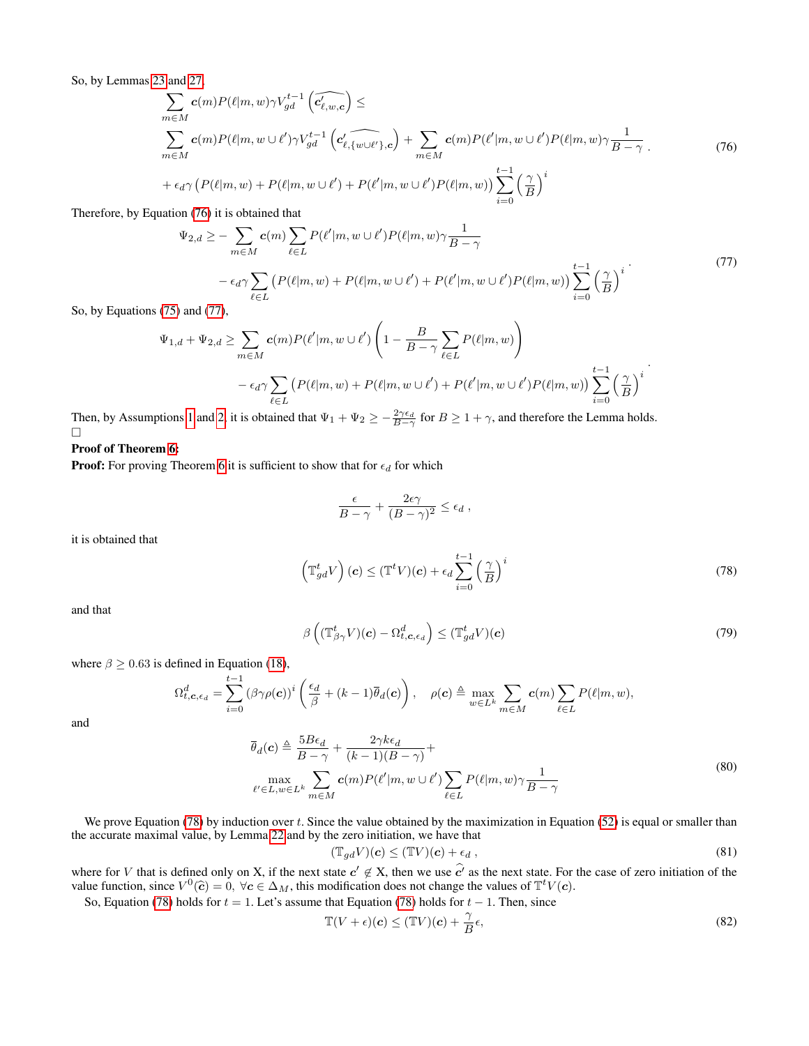So, by Lemmas [23](#page-16-8) and [27,](#page-17-5)

<span id="page-21-0"></span>
$$
\sum_{m \in M} \mathbf{c}(m) P(\ell|m, w) \gamma V_{gd}^{t-1} \left( \widehat{c'_{\ell,w,c}} \right) \le
$$
\n
$$
\sum_{m \in M} \mathbf{c}(m) P(\ell|m, w \cup \ell') \gamma V_{gd}^{t-1} \left( \widehat{c'_{\ell,w \cup \ell'}} \right) + \sum_{m \in M} \mathbf{c}(m) P(\ell|m, w \cup \ell') P(\ell|m, w) \gamma \frac{1}{B - \gamma}.
$$
\n
$$
+ \epsilon_d \gamma \left( P(\ell|m, w) + P(\ell|m, w \cup \ell') + P(\ell'|m, w \cup \ell') P(\ell|m, w) \right) \sum_{i=0}^{t-1} \left( \frac{\gamma}{B} \right)^i
$$
\n(76)

Therefore, by Equation [\(76\)](#page-21-0) it is obtained that

<span id="page-21-1"></span>
$$
\Psi_{2,d} \geq -\sum_{m \in M} c(m) \sum_{\ell \in L} P(\ell'|m, w \cup \ell') P(\ell|m, w) \gamma \frac{1}{B - \gamma}
$$
  
 
$$
- \epsilon_d \gamma \sum_{\ell \in L} \left( P(\ell|m, w) + P(\ell|m, w \cup \ell') + P(\ell'|m, w \cup \ell') P(\ell|m, w) \right) \sum_{i=0}^{t-1} \left( \frac{\gamma}{B} \right)^i
$$
(77)  
and (77)

So, by Equations [\(75\)](#page-20-1) and [\(77\)](#page-21-1),

$$
\Psi_{1,d} + \Psi_{2,d} \ge \sum_{m \in M} c(m) P(\ell'|m, w \cup \ell') \left( 1 - \frac{B}{B - \gamma} \sum_{\ell \in L} P(\ell|m, w) \right)
$$

$$
- \epsilon_d \gamma \sum_{\ell \in L} \left( P(\ell|m, w) + P(\ell|m, w \cup \ell') + P(\ell'|m, w \cup \ell') P(\ell|m, w) \right) \sum_{i=0}^{t-1} \left( \frac{\gamma}{B} \right)^i
$$

Then, by Assumptions [1](#page-3-4) and [2,](#page-3-5) it is obtained that  $\Psi_1 + \Psi_2 \ge -\frac{2\gamma\epsilon_d}{B-\gamma}$  for  $B \ge 1+\gamma$ , and therefore the Lemma holds.  $\Box$ 

### Proof of Theorem [6:](#page-4-3)

**Proof:** For proving Theorem [6](#page-4-3) it is sufficient to show that for  $\epsilon_d$  for which

$$
\frac{\epsilon}{B-\gamma} + \frac{2\epsilon\gamma}{(B-\gamma)^2} \leq \epsilon_d ,
$$

<span id="page-21-2"></span>it is obtained that

$$
\left(\mathbb{T}^t_{gd}V\right)(\mathbf{c}) \leq (\mathbb{T}^t V)(\mathbf{c}) + \epsilon_d \sum_{i=0}^{t-1} \left(\frac{\gamma}{B}\right)^i
$$
\n(78)

<span id="page-21-3"></span>and that

$$
\beta\left((\mathbb{T}_{\beta\gamma}^t V)(\boldsymbol{c}) - \Omega_{t,\boldsymbol{c},\epsilon_d}^d\right) \leq (\mathbb{T}_{gd}^t V)(\boldsymbol{c}) \tag{79}
$$

where  $\beta \ge 0.63$  is defined in Equation [\(18\)](#page-8-3),

$$
\Omega_{t,\mathbf{c},\epsilon_d}^d = \sum_{i=0}^{t-1} (\beta \gamma \rho(\mathbf{c}))^i \left( \frac{\epsilon_d}{\beta} + (k-1) \overline{\theta}_d(\mathbf{c}) \right), \quad \rho(\mathbf{c}) \triangleq \max_{w \in L^k} \sum_{m \in M} \mathbf{c}(m) \sum_{\ell \in L} P(\ell|m,w),
$$

<span id="page-21-4"></span>and

$$
\overline{\theta}_{d}(\mathbf{c}) \triangleq \frac{5B\epsilon_{d}}{B-\gamma} + \frac{2\gamma k\epsilon_{d}}{(k-1)(B-\gamma)} + \max_{\ell' \in L, w \in L^{k}} \sum_{m \in M} \mathbf{c}(m) P(\ell'|m, w \cup \ell') \sum_{\ell \in L} P(\ell|m, w) \gamma \frac{1}{B-\gamma}
$$
\n(80)

We prove Equation  $(78)$  by induction over t. Since the value obtained by the maximization in Equation  $(52)$  is equal or smaller than the accurate maximal value, by Lemma [22](#page-15-4) and by the zero initiation, we have that

$$
(\mathbb{T}_{gd}V)(\mathbf{c}) \le (\mathbb{T}V)(\mathbf{c}) + \epsilon_d , \qquad (81)
$$

where for V that is defined only on X, if the next state  $c' \notin X$ , then we use  $\hat{c'}$  as the next state. For the case of zero initiation of the value function, since  $V^0(\hat{c}) = 0$ ,  $\forall c \in \Delta_M$ , this modification does not c

So, Equation [\(78\)](#page-21-2) holds for  $t = 1$ . Let's assume that Equation (78) holds for  $t - 1$ . Then, since

$$
\mathbb{T}(V+\epsilon)(\mathbf{c}) \le (\mathbb{T}V)(\mathbf{c}) + \frac{\gamma}{B}\epsilon,
$$
\n(82)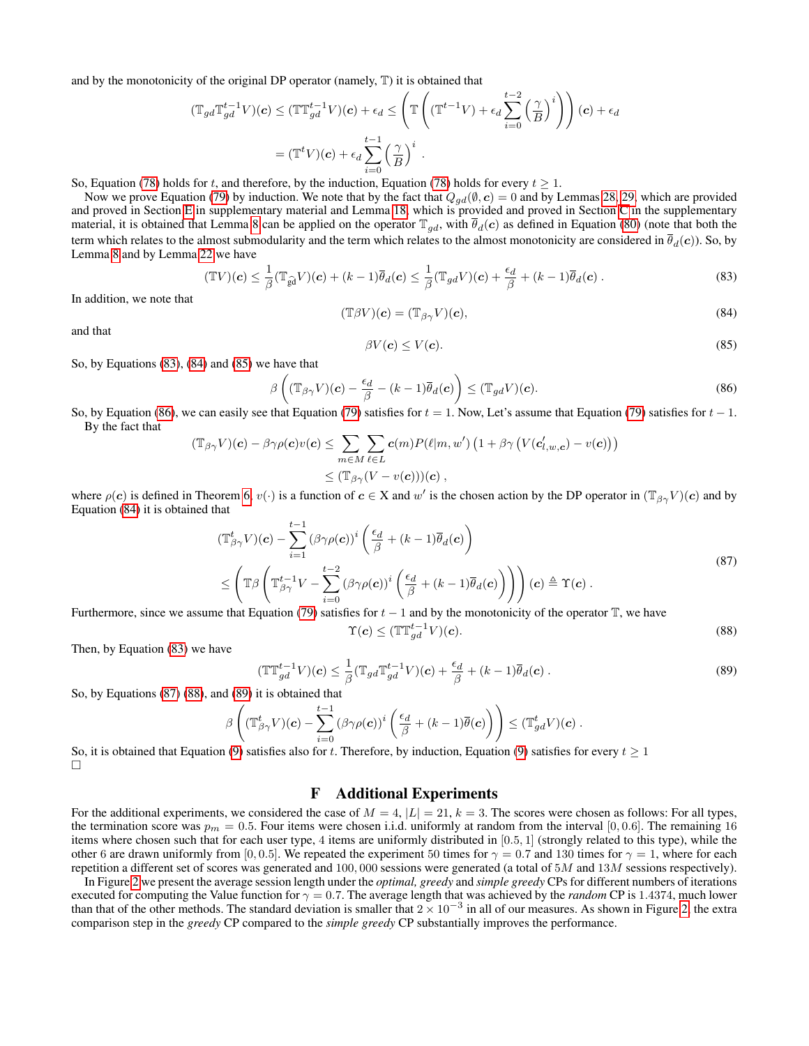and by the monotonicity of the original DP operator (namely, T) it is obtained that

$$
(\mathbb{T}_{gd} \mathbb{T}_{gd}^{t-1} V)(c) \leq (\mathbb{T} \mathbb{T}_{gd}^{t-1} V)(c) + \epsilon_d \leq \left( \mathbb{T} \left( (\mathbb{T}^{t-1} V) + \epsilon_d \sum_{i=0}^{t-2} \left( \frac{\gamma}{B} \right)^i \right) \right)(c) + \epsilon_d
$$

$$
= (\mathbb{T}^t V)(c) + \epsilon_d \sum_{i=0}^{t-1} \left( \frac{\gamma}{B} \right)^i.
$$

So, Equation [\(78\)](#page-21-2) holds for t, and therefore, by the induction, Equation (78) holds for every  $t > 1$ .

Now we prove Equation [\(79\)](#page-21-3) by induction. We note that by the fact that  $Q_{gd}(\emptyset, c) = 0$  and by Lemmas [28,](#page-18-2) [29,](#page-20-2) which are provided and proved in Section [E](#page-15-0) in supplementary material and Lemma [18,](#page-12-1) which is provided and proved in Section [C](#page-9-0) in the supplementary material, it is obtained that Lemma [8](#page-8-0) can be applied on the operator  $\mathbb{T}_{gd}$ , with  $\overline{\theta}_d(c)$  as defined in Equation [\(80\)](#page-21-4) (note that both the term which relates to the almost submodularity and the term which relates to the almost monotonicity are considered in  $\bar{\theta}_d(c)$ ). So, by Lemma [8](#page-8-0) and by Lemma [22](#page-15-4) we have

<span id="page-22-2"></span><span id="page-22-1"></span>
$$
(\mathbb{T}V)(\mathbf{c}) \leq \frac{1}{\beta} (\mathbb{T}_{\widehat{\mathbf{g}}d} V)(\mathbf{c}) + (k-1)\overline{\theta}_d(\mathbf{c}) \leq \frac{1}{\beta} (\mathbb{T}_{gd} V)(\mathbf{c}) + \frac{\epsilon_d}{\beta} + (k-1)\overline{\theta}_d(\mathbf{c}) .
$$
\n(83)

In addition, we note that

$$
(\mathbb{T}\beta V)(\mathbf{c}) = (\mathbb{T}_{\beta\gamma}V)(\mathbf{c}),\tag{84}
$$

<span id="page-22-3"></span>and that

<span id="page-22-4"></span>
$$
\beta V(\mathbf{c}) \le V(\mathbf{c}).\tag{85}
$$

So, by Equations [\(83\)](#page-22-1), [\(84\)](#page-22-2) and [\(85\)](#page-22-3) we have that

$$
\beta\left((\mathbb{T}_{\beta\gamma}V)(\mathbf{c}) - \frac{\epsilon_d}{\beta} - (k-1)\overline{\theta}_d(\mathbf{c})\right) \leq (\mathbb{T}_{gd}V)(\mathbf{c}).\tag{86}
$$

So, by Equation [\(86\)](#page-22-4), we can easily see that Equation [\(79\)](#page-21-3) satisfies for  $t = 1$ . Now, Let's assume that Equation (79) satisfies for  $t - 1$ . By the fact that

$$
(\mathbb{T}_{\beta\gamma}V)(\mathbf{c}) - \beta\gamma\rho(\mathbf{c})v(\mathbf{c}) \leq \sum_{m \in M} \sum_{\ell \in L} \mathbf{c}(m) P(\ell|m, w') \left(1 + \beta\gamma \left(V(\mathbf{c}'_{l,w,\mathbf{c}}) - v(\mathbf{c})\right)\right)
$$
  

$$
\leq (\mathbb{T}_{\beta\gamma}(V - v(\mathbf{c})))(\mathbf{c}),
$$

where  $\rho(c)$  is defined in Theorem [6,](#page-4-3)  $v(\cdot)$  is a function of  $c \in X$  and w' is the chosen action by the DP operator in  $(\mathbb{T}_{\beta\gamma}V)(c)$  and by Equation [\(84\)](#page-22-2) it is obtained that

<span id="page-22-5"></span>
$$
(\mathbb{T}_{\beta\gamma}^{t}V)(\mathbf{c}) - \sum_{i=1}^{t-1} (\beta\gamma\rho(\mathbf{c}))^{i} \left(\frac{\epsilon_{d}}{\beta} + (k-1)\overline{\theta}_{d}(\mathbf{c})\right)
$$
  

$$
\leq \left(\mathbb{T}\beta \left(\mathbb{T}_{\beta\gamma}^{t-1}V - \sum_{i=0}^{t-2} (\beta\gamma\rho(\mathbf{c}))^{i} \left(\frac{\epsilon_{d}}{\beta} + (k-1)\overline{\theta}_{d}(\mathbf{c})\right)\right)\right)(\mathbf{c}) \triangleq \Upsilon(\mathbf{c}).
$$
\n(87)

Furthermore, since we assume that Equation [\(79\)](#page-21-3) satisfies for  $t - 1$  and by the monotonicity of the operator T, we have

<span id="page-22-6"></span>
$$
\Upsilon(\boldsymbol{c}) \le (\mathbb{T}\mathbb{T}^{t-1}_{gd}V)(\boldsymbol{c}).\tag{88}
$$

Then, by Equation [\(83\)](#page-22-1) we have

$$
\mathbb{T}_{gd}^{t-1}V)(c) \leq \frac{1}{\beta} (\mathbb{T}_{gd} \mathbb{T}_{gd}^{t-1}V)(c) + \frac{\epsilon_d}{\beta} + (k-1)\overline{\theta}_d(c) .
$$
\n(89)

So, by Equations [\(87\)](#page-22-5) [\(88\)](#page-22-6), and [\(89\)](#page-22-7) it is obtained that

<span id="page-22-7"></span> $\binom{r}{1}$ 

$$
\beta\left((\mathbb{T}_{\beta\gamma}^t V)(\boldsymbol{c})-\sum_{i=0}^{t-1}\left(\beta\gamma\rho(\boldsymbol{c})\right)^i\left(\frac{\epsilon_d}{\beta}+(k-1)\overline{\theta}(\boldsymbol{c})\right)\right)\leq (\mathbb{T}_{gd}^t V)(\boldsymbol{c})\ .
$$

So, it is obtained that Equation [\(9\)](#page-4-7) satisfies also for t. Therefore, by induction, Equation (9) satisfies for every  $t \ge 1$ П

## F Additional Experiments

<span id="page-22-0"></span>For the additional experiments, we considered the case of  $M = 4$ ,  $|L| = 21$ ,  $k = 3$ . The scores were chosen as follows: For all types, the termination score was  $p_m = 0.5$ . Four items were chosen i.i.d. uniformly at random from the interval [0, 0.6]. The remaining 16 items where chosen such that for each user type, 4 items are uniformly distributed in [0.5, 1] (strongly related to this type), while the other 6 are drawn uniformly from [0, 0.5]. We repeated the experiment 50 times for  $\gamma = 0.7$  and 130 times for  $\gamma = 1$ , where for each repetition a different set of scores was generated and 100,000 sessions were generated (a total of  $5M$  and  $13M$  sessions respectively).

In Figure [2](#page-23-1) we present the average session length under the *optimal, greedy* and *simple greedy* CPs for different numbers of iterations executed for computing the Value function for  $\gamma = 0.7$ . The average length that was achieved by the *random* CP is 1.4374, much lower than that of the other methods. The standard deviation is smaller that  $2 \times 10^{-3}$  in all of our measures. As shown in Figure [2,](#page-23-1) the extra comparison step in the *greedy* CP compared to the *simple greedy* CP substantially improves the performance.